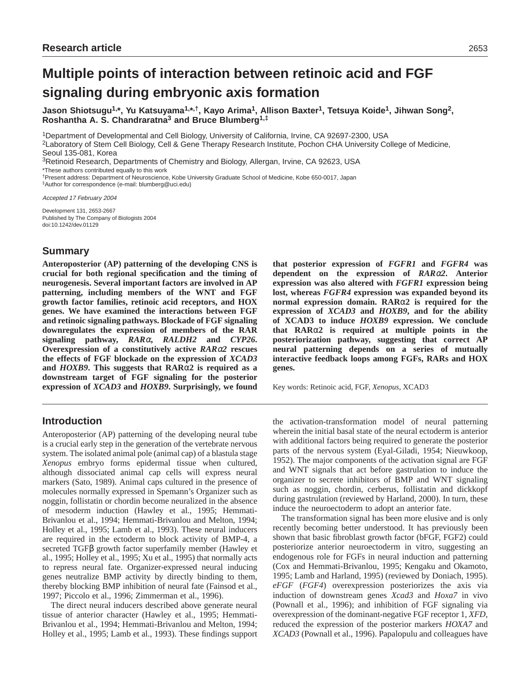# **Multiple points of interaction between retinoic acid and FGF signaling during embryonic axis formation**

**Jason Shiotsugu1,\*, Yu Katsuyama1,\*,†, Kayo Arima1, Allison Baxter1, Tetsuya Koide1, Jihwan Song2, Roshantha A. S. Chandraratna3 and Bruce Blumberg1,‡**

1Department of Developmental and Cell Biology, University of California, Irvine, CA 92697-2300, USA

2Laboratory of Stem Cell Biology, Cell & Gene Therapy Research Institute, Pochon CHA University College of Medicine, Seoul 135-081, Korea

3Retinoid Research, Departments of Chemistry and Biology, Allergan, Irvine, CA 92623, USA

\*These authors contributed equally to this work

†Present address: Department of Neuroscience, Kobe University Graduate School of Medicine, Kobe 650-0017, Japan ‡Author for correspondence (e-mail: blumberg@uci.edu)

Accepted 17 February 2004

Development 131, 2653-2667 Published by The Company of Biologists 2004 doi:10.1242/dev.01129

# **Summary**

**Anteroposterior (AP) patterning of the developing CNS is crucial for both regional specification and the timing of neurogenesis. Several important factors are involved in AP patterning, including members of the WNT and FGF growth factor families, retinoic acid receptors, and HOX genes. We have examined the interactions between FGF and retinoic signaling pathways. Blockade of FGF signaling downregulates the expression of members of the RAR signaling pathway,** *RAR*α**,** *RALDH2* **and** *CYP26***. Overexpression of a constitutively active** *RAR*α*2* **rescues the effects of FGF blockade on the expression of** *XCAD3* **and** *HOXB9***. This suggests that RAR**α**2 is required as a downstream target of FGF signaling for the posterior expression of** *XCAD3* **and** *HOXB9***. Surprisingly, we found**

# **Introduction**

Anteroposterior (AP) patterning of the developing neural tube is a crucial early step in the generation of the vertebrate nervous system. The isolated animal pole (animal cap) of a blastula stage *Xenopus* embryo forms epidermal tissue when cultured, although dissociated animal cap cells will express neural markers (Sato, 1989). Animal caps cultured in the presence of molecules normally expressed in Spemann's Organizer such as noggin, follistatin or chordin become neuralized in the absence of mesoderm induction (Hawley et al., 1995; Hemmati-Brivanlou et al., 1994; Hemmati-Brivanlou and Melton, 1994; Holley et al., 1995; Lamb et al., 1993). These neural inducers are required in the ectoderm to block activity of BMP-4, a secreted TGFβ growth factor superfamily member (Hawley et al., 1995; Holley et al., 1995; Xu et al., 1995) that normally acts to repress neural fate. Organizer-expressed neural inducing genes neutralize BMP activity by directly binding to them, thereby blocking BMP inhibition of neural fate (Fainsod et al., 1997; Piccolo et al., 1996; Zimmerman et al., 1996).

The direct neural inducers described above generate neural tissue of anterior character (Hawley et al., 1995; Hemmati-Brivanlou et al., 1994; Hemmati-Brivanlou and Melton, 1994; Holley et al., 1995; Lamb et al., 1993). These findings support **that posterior expression of** *FGFR1* **and** *FGFR4* **was dependent on the expression of** *RAR*α*2***. Anterior expression was also altered with** *FGFR1* **expression being lost, whereas** *FGFR4* **expression was expanded beyond its normal expression domain. RAR**α**2 is required for the expression of** *XCAD3* **and** *HOXB9***, and for the ability of XCAD3 to induce** *HOXB9* **expression. We conclude that RAR**α**2 is required at multiple points in the posteriorization pathway, suggesting that correct AP neural patterning depends on a series of mutually interactive feedback loops among FGFs, RARs and HOX genes.**

Key words: Retinoic acid, FGF, *Xenopus*, XCAD3

the activation-transformation model of neural patterning wherein the initial basal state of the neural ectoderm is anterior with additional factors being required to generate the posterior parts of the nervous system (Eyal-Giladi, 1954; Nieuwkoop, 1952). The major components of the activation signal are FGF and WNT signals that act before gastrulation to induce the organizer to secrete inhibitors of BMP and WNT signaling such as noggin, chordin, cerberus, follistatin and dickkopf during gastrulation (reviewed by Harland, 2000). In turn, these induce the neuroectoderm to adopt an anterior fate.

The transformation signal has been more elusive and is only recently becoming better understood. It has previously been shown that basic fibroblast growth factor (bFGF, FGF2) could posteriorize anterior neuroectoderm in vitro, suggesting an endogenous role for FGFs in neural induction and patterning (Cox and Hemmati-Brivanlou, 1995; Kengaku and Okamoto, 1995; Lamb and Harland, 1995) (reviewed by Doniach, 1995). *eFGF* (*FGF4*) overexpression posteriorizes the axis via induction of downstream genes *Xcad3* and *Hoxa7* in vivo (Pownall et al., 1996); and inhibition of FGF signaling via overexpression of the dominant-negative FGF receptor 1, *XFD*, reduced the expression of the posterior markers *HOXA7* and *XCAD3* (Pownall et al., 1996). Papalopulu and colleagues have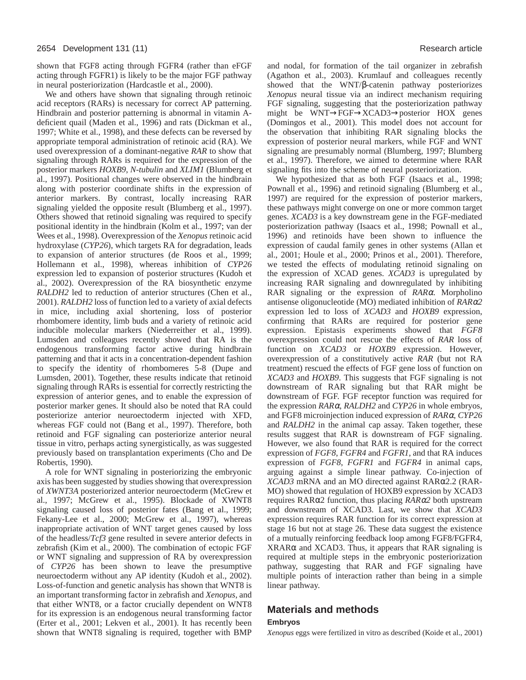shown that FGF8 acting through FGFR4 (rather than eFGF acting through FGFR1) is likely to be the major FGF pathway in neural posteriorization (Hardcastle et al., 2000).

We and others have shown that signaling through retinoic acid receptors (RARs) is necessary for correct AP patterning. Hindbrain and posterior patterning is abnormal in vitamin Adeficient quail (Maden et al., 1996) and rats (Dickman et al., 1997; White et al., 1998), and these defects can be reversed by appropriate temporal administration of retinoic acid (RA). We used overexpression of a dominant-negative *RAR* to show that signaling through RARs is required for the expression of the posterior markers *HOXB9*, *N-tubulin* and *XLIM1* (Blumberg et al., 1997). Positional changes were observed in the hindbrain along with posterior coordinate shifts in the expression of anterior markers. By contrast, locally increasing RAR signaling yielded the opposite result (Blumberg et al., 1997). Others showed that retinoid signaling was required to specify positional identity in the hindbrain (Kolm et al., 1997; van der Wees et al., 1998). Overexpression of the *Xenopus* retinoic acid hydroxylase (*CYP26*), which targets RA for degradation, leads to expansion of anterior structures (de Roos et al., 1999; Hollemann et al., 1998), whereas inhibition of *CYP26* expression led to expansion of posterior structures (Kudoh et al., 2002). Overexpression of the RA biosynthetic enzyme *RALDH2* led to reduction of anterior structures (Chen et al., 2001). *RALDH2* loss of function led to a variety of axial defects in mice, including axial shortening, loss of posterior rhombomere identity, limb buds and a variety of retinoic acid inducible molecular markers (Niederreither et al., 1999). Lumsden and colleagues recently showed that RA is the endogenous transforming factor active during hindbrain patterning and that it acts in a concentration-dependent fashion to specify the identity of rhombomeres 5-8 (Dupe and Lumsden, 2001). Together, these results indicate that retinoid signaling through RARs is essential for correctly restricting the expression of anterior genes, and to enable the expression of posterior marker genes. It should also be noted that RA could posteriorize anterior neuroectoderm injected with XFD, whereas FGF could not (Bang et al., 1997). Therefore, both retinoid and FGF signaling can posteriorize anterior neural tissue in vitro, perhaps acting synergistically, as was suggested previously based on transplantation experiments (Cho and De Robertis, 1990).

A role for WNT signaling in posteriorizing the embryonic axis has been suggested by studies showing that overexpression of *XWNT3A* posteriorized anterior neuroectoderm (McGrew et al., 1997; McGrew et al., 1995). Blockade of XWNT8 signaling caused loss of posterior fates (Bang et al., 1999; Fekany-Lee et al., 2000; McGrew et al., 1997), whereas inappropriate activation of WNT target genes caused by loss of the headless/*Tcf3* gene resulted in severe anterior defects in zebrafish (Kim et al., 2000). The combination of ectopic FGF or WNT signaling and suppression of RA by overexpression of *CYP26* has been shown to leave the presumptive neuroectoderm without any AP identity (Kudoh et al., 2002). Loss-of-function and genetic analysis has shown that WNT8 is an important transforming factor in zebrafish and *Xenopus*, and that either WNT8, or a factor crucially dependent on WNT8 for its expression is an endogenous neural transforming factor (Erter et al., 2001; Lekven et al., 2001). It has recently been shown that WNT8 signaling is required, together with BMP

and nodal, for formation of the tail organizer in zebrafish (Agathon et al., 2003). Krumlauf and colleagues recently showed that the WNT/β-catenin pathway posteriorizes *Xenopus* neural tissue via an indirect mechanism requiring FGF signaling, suggesting that the posteriorization pathway might be WNT→FGF→XCAD3→posterior HOX genes (Domingos et al., 2001). This model does not account for the observation that inhibiting RAR signaling blocks the expression of posterior neural markers, while FGF and WNT signaling are presumably normal (Blumberg, 1997; Blumberg et al., 1997). Therefore, we aimed to determine where RAR signaling fits into the scheme of neural posteriorization.

We hypothesized that as both FGF (Isaacs et al., 1998; Pownall et al., 1996) and retinoid signaling (Blumberg et al., 1997) are required for the expression of posterior markers, these pathways might converge on one or more common target genes. *XCAD3* is a key downstream gene in the FGF-mediated posteriorization pathway (Isaacs et al., 1998; Pownall et al., 1996) and retinoids have been shown to influence the expression of caudal family genes in other systems (Allan et al., 2001; Houle et al., 2000; Prinos et al., 2001). Therefore, we tested the effects of modulating retinoid signaling on the expression of XCAD genes. *XCAD3* is upregulated by increasing RAR signaling and downregulated by inhibiting RAR signaling or the expression of *RAR*α. Morpholino antisense oligonucleotide (MO) mediated inhibition of *RAR*α*2* expression led to loss of *XCAD3* and *HOXB9* expression, confirming that RARs are required for posterior gene expression. Epistasis experiments showed that *FGF8* overexpression could not rescue the effects of *RAR* loss of function on *XCAD3* or *HOXB9* expression. However, overexpression of a constitutively active *RAR* (but not RA treatment) rescued the effects of FGF gene loss of function on *XCAD3* and *HOXB9*. This suggests that FGF signaling is not downstream of RAR signaling but that RAR might be downstream of FGF. FGF receptor function was required for the expression *RAR*α, *RALDH2* and *CYP26* in whole embryos, and FGF8 microinjection induced expression of *RAR*α, *CYP26* and *RALDH2* in the animal cap assay. Taken together, these results suggest that RAR is downstream of FGF signaling. However, we also found that RAR is required for the correct expression of *FGF8*, *FGFR4* and *FGFR1*, and that RA induces expression of *FGF8*, *FGFR1* and *FGFR4* in animal caps, arguing against a simple linear pathway. Co-injection of *XCAD3* mRNA and an MO directed against RARα2.2 (RAR-MO) showed that regulation of HOXB9 expression by XCAD3 requires RARα2 function, thus placing *RAR*α*2* both upstream and downstream of XCAD3. Last, we show that *XCAD3* expression requires RAR function for its correct expression at stage 16 but not at stage 26. These data suggest the existence of a mutually reinforcing feedback loop among FGF8/FGFR4, XRARα and XCAD3. Thus, it appears that RAR signaling is required at multiple steps in the embryonic posteriorization pathway, suggesting that RAR and FGF signaling have multiple points of interaction rather than being in a simple linear pathway.

# **Materials and methods**

# **Embryos**

*Xenopus* eggs were fertilized in vitro as described (Koide et al., 2001)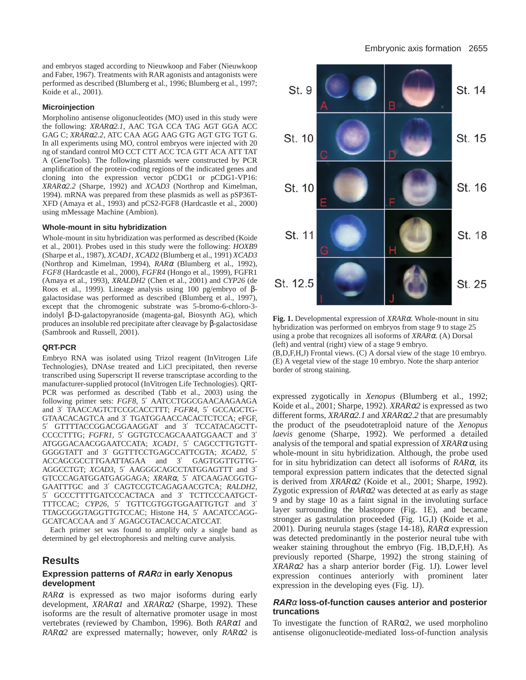and embryos staged according to Nieuwkoop and Faber (Nieuwkoop and Faber, 1967). Treatments with RAR agonists and antagonists were performed as described (Blumberg et al., 1996; Blumberg et al., 1997; Koide et al., 2001).

#### **Microinjection**

Morpholino antisense oligonucleotides (MO) used in this study were the following: *XRAR*α*2.1*, AAC TGA CCA TAG AGT GGA ACC GAG C; *XRAR*α*2.2*, ATC CAA AGG AAG GTG AGT GTG TGT G. In all experiments using MO, control embryos were injected with 20 ng of standard control MO CCT CTT ACC TCA GTT ACA ATT TAT A (GeneTools). The following plasmids were constructed by PCR amplification of the protein-coding regions of the indicated genes and cloning into the expression vector pCDG1 or pCDG1-VP16: *XRAR*α*2.2* (Sharpe, 1992) and *XCAD3* (Northrop and Kimelman, 1994). mRNA was prepared from these plasmids as well as pSP36T-XFD (Amaya et al., 1993) and pCS2-FGF8 (Hardcastle et al., 2000) using mMessage Machine (Ambion).

#### **Whole-mount in situ hybridization**

Whole-mount in situ hybridization was performed as described (Koide et al., 2001). Probes used in this study were the following: *HOXB9* (Sharpe et al., 1987), *XCAD1*, *XCAD2* (Blumberg et al., 1991) *XCAD3* (Northrop and Kimelman, 1994), *RAR*<sup>α</sup> (Blumberg et al., 1992), *FGF8* (Hardcastle et al., 2000), *FGFR4* (Hongo et al., 1999), FGFR1 (Amaya et al., 1993), *XRALDH2* (Chen et al., 2001) and *CYP26* (de Roos et al., 1999). Lineage analysis using 100 pg/embryo of βgalactosidase was performed as described (Blumberg et al., 1997), except that the chromogenic substrate was 5-bromo-6-chloro-3 indolyl β-D-galactopyranoside (magenta-gal, Biosynth AG), which produces an insoluble red precipitate after cleavage by β-galactosidase (Sambrook and Russell, 2001).

## **QRT-PCR**

Embryo RNA was isolated using Trizol reagent (InVitrogen Life Technologies), DNAse treated and LiCl precipitated, then reverse transcribed using Superscript II reverse transcriptase according to the manufacturer-supplied protocol (InVitrogen Life Technologies). QRT-PCR was performed as described (Tabb et al., 2003) using the following primer sets: *FGF8*, 5′ AATCCTGGCGAACAAGAAGA and 3′ TAACCAGTCTCCGCACCTTT; *FGFR4*, 5′ GCCAGCTG-GTAACACAGTCA and 3′ TGATGGAACCACACTCTCCA; eFGF, 5′ GTTTTACCGGACGGAAGGAT and 3′ TCCATACAGCTT-CCCCTTTG; *FGFR1*, 5′ GGTGTCCAGCAAATGGAACT and 3′ ATGGGACAACGGAATCCATA; *XCAD1*, 5′ CAGCCTTGTGTT-GGGGTATT and 3′ GGTTTCCTGAGCCATTCGTA; *XCAD2*, 5′ ACCAGCGCCTTGAATTAGAA and 3′ GAGTGGTTGTTG-AGGCCTGT; *XCAD3*, 5′ AAGGGCAGCCTATGGAGTTT and 3′ GTCCCAGATGGATGAGGAGA; *XRAR*α, 5′ ATCAAGACGGTG-GAATTTGC and 3′ CAGTCCGTCAGAGAACGTCA; *RALDH2*, 5′ GCCCTTTTGATCCCACTACA and 3′ TCTTCCCAATGCT-TTTCCAC; *CYP26*, 5′ TGTTCGTGGTGGAATTGTGT and 3′ TTAGCGGGTAGGTTGTCCAC; Histone H4, 5′ AACATCCAGG-GCATCACCAA and 3′ AGAGCGTACACCACATCCAT.

Each primer set was found to amplify only a single band as determined by gel electrophoresis and melting curve analysis.

# **Results**

## **Expression patterns of RAR**<sup>α</sup> **in early Xenopus development**

*RAR*<sup>α</sup> is expressed as two major isoforms during early development, *XRAR*α*1* and *XRAR*α*2* (Sharpe, 1992). These isoforms are the result of alternative promoter usage in most vertebrates (reviewed by Chambon, 1996). Both *RAR*α*1* and *RAR*α*2* are expressed maternally; however, only *RAR*α*2* is



**Fig. 1.** Developmental expression of *XRAR*α. Whole-mount in situ hybridization was performed on embryos from stage 9 to stage 25 using a probe that recognizes all isoforms of *XRAR*α. (A) Dorsal (left) and ventral (right) view of a stage 9 embryo.

(B,D,F,H,J) Frontal views. (C) A dorsal view of the stage 10 embryo. (E) A vegetal view of the stage 10 embryo. Note the sharp anterior border of strong staining.

expressed zygotically in *Xenopus* (Blumberg et al., 1992; Koide et al., 2001; Sharpe, 1992). *XRAR*α*2* is expressed as two different forms, *XRAR*α*2.1* and *XRAR*α*2.2* that are presumably the product of the pseudotetraploid nature of the *Xenopus laevis* genome (Sharpe, 1992). We performed a detailed analysis of the temporal and spatial expression of *XRAR*<sup>α</sup> using whole-mount in situ hybridization. Although, the probe used for in situ hybridization can detect all isoforms of *RAR*α, its temporal expression pattern indicates that the detected signal is derived from *XRAR*α*2* (Koide et al., 2001; Sharpe, 1992). Zygotic expression of *RAR*α*2* was detected at as early as stage 9 and by stage 10 as a faint signal in the involuting surface layer surrounding the blastopore (Fig. 1E), and became stronger as gastrulation proceeded (Fig. 1G,I) (Koide et al., 2001). During neurula stages (stage 14-18), *RAR*<sup>α</sup> expression was detected predominantly in the posterior neural tube with weaker staining throughout the embryo (Fig. 1B,D,F,H). As previously reported (Sharpe, 1992) the strong staining of *XRAR*α*2* has a sharp anterior border (Fig. 1J). Lower level expression continues anteriorly with prominent later expression in the developing eyes (Fig. 1J).

## **RAR**<sup>α</sup> **loss-of-function causes anterior and posterior truncations**

To investigate the function of RARα2, we used morpholino antisense oligonucleotide-mediated loss-of-function analysis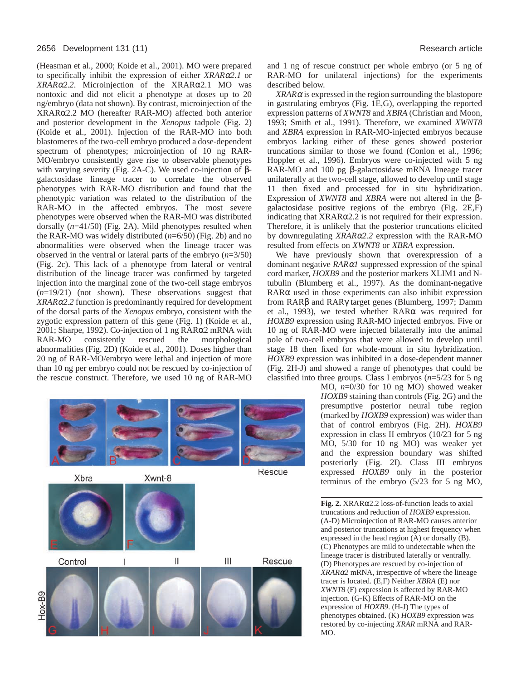#### 2656 Development 131 (11) Research article

(Heasman et al., 2000; Koide et al., 2001). MO were prepared to specifically inhibit the expression of either *XRAR*α*2.1* or *XRAR*α*2.2*. Microinjection of the XRARα2.1 MO was nontoxic and did not elicit a phenotype at doses up to 20 ng/embryo (data not shown). By contrast, microinjection of the XRARα2.2 MO (hereafter RAR-MO) affected both anterior and posterior development in the *Xenopus* tadpole (Fig. 2) (Koide et al., 2001). Injection of the RAR-MO into both blastomeres of the two-cell embryo produced a dose-dependent spectrum of phenotypes; microinjection of 10 ng RAR-MO/embryo consistently gave rise to observable phenotypes with varying severity (Fig. 2A-C). We used co-injection of βgalactosidase lineage tracer to correlate the observed phenotypes with RAR-MO distribution and found that the phenotypic variation was related to the distribution of the RAR-MO in the affected embryos. The most severe phenotypes were observed when the RAR-MO was distributed dorsally (*n*=41/50) (Fig. 2A). Mild phenotypes resulted when the RAR-MO was widely distributed (*n*=6/50) (Fig. 2b) and no abnormalities were observed when the lineage tracer was observed in the ventral or lateral parts of the embryo (*n*=3/50) (Fig. 2c). This lack of a phenotype from lateral or ventral distribution of the lineage tracer was confirmed by targeted injection into the marginal zone of the two-cell stage embryos (*n*=19/21) (not shown). These observations suggest that *XRAR*α*2.2* function is predominantly required for development of the dorsal parts of the *Xenopus* embryo, consistent with the zygotic expression pattern of this gene (Fig. 1) (Koide et al., 2001; Sharpe, 1992). Co-injection of 1 ng RARα2 mRNA with RAR-MO consistently rescued the morphological abnormalities (Fig. 2D) (Koide et al., 2001). Doses higher than 20 ng of RAR-MO/embryo were lethal and injection of more than 10 ng per embryo could not be rescued by co-injection of the rescue construct. Therefore, we used 10 ng of RAR-MO



and 1 ng of rescue construct per whole embryo (or 5 ng of RAR-MO for unilateral injections) for the experiments described below.

*XRAR*<sup>α</sup> is expressed in the region surrounding the blastopore in gastrulating embryos (Fig. 1E,G), overlapping the reported expression patterns of *XWNT8* and *XBRA* (Christian and Moon, 1993; Smith et al., 1991). Therefore, we examined *XWNT8* and *XBRA* expression in RAR-MO-injected embryos because embryos lacking either of these genes showed posterior truncations similar to those we found (Conlon et al., 1996; Hoppler et al., 1996). Embryos were co-injected with 5 ng RAR-MO and 100 pg β-galactosidase mRNA lineage tracer unilaterally at the two-cell stage, allowed to develop until stage 11 then fixed and processed for in situ hybridization. Expression of *XWNT8* and *XBRA* were not altered in the βgalactosidase positive regions of the embryo (Fig. 2E,F) indicating that XRARα2.2 is not required for their expression. Therefore, it is unlikely that the posterior truncations elicited by downregulating *XRAR*α*2.2* expression with the RAR-MO resulted from effects on *XWNT8* or *XBRA* expression.

We have previously shown that overexpression of a dominant negative *RAR*α*1* suppressed expression of the spinal cord marker, *HOXB9* and the posterior markers XLIM1 and Ntubulin (Blumberg et al., 1997). As the dominant-negative RARα used in those experiments can also inhibit expression from RARβ and RARγ target genes (Blumberg, 1997; Damm et al., 1993), we tested whether RARα was required for *HOXB9* expression using RAR-MO injected embryos. Five or 10 ng of RAR-MO were injected bilaterally into the animal pole of two-cell embryos that were allowed to develop until stage 18 then fixed for whole-mount in situ hybridization. *HOXB9* expression was inhibited in a dose-dependent manner (Fig. 2H-J) and showed a range of phenotypes that could be classified into three groups. Class I embryos (*n*=5/23 for 5 ng

> MO, *n*=0/30 for 10 ng MO) showed weaker *HOXB9* staining than controls (Fig. 2G) and the presumptive posterior neural tube region (marked by *HOXB9* expression) was wider than that of control embryos (Fig. 2H). *HOXB9* expression in class II embryos (10/23 for 5 ng MO, 5/30 for 10 ng MO) was weaker yet and the expression boundary was shifted posteriorly (Fig. 2I). Class III embryos expressed *HOXB9* only in the posterior terminus of the embryo (5/23 for 5 ng MO,

> **Fig. 2.** XRARα2.2 loss-of-function leads to axial truncations and reduction of *HOXB9* expression. (A-D) Microinjection of RAR-MO causes anterior and posterior truncations at highest frequency when expressed in the head region (A) or dorsally (B). (C) Phenotypes are mild to undetectable when the lineage tracer is distributed laterally or ventrally. (D) Phenotypes are rescued by co-injection of *XRAR*α*2* mRNA, irrespective of where the lineage tracer is located. (E,F) Neither *XBRA* (E) nor *XWNT8* (F) expression is affected by RAR-MO injection. (G-K) Effects of RAR-MO on the expression of *HOXB9*. (H-J) The types of phenotypes obtained. (K) *HOXB9* expression was restored by co-injecting *XRAR* mRNA and RAR-MO.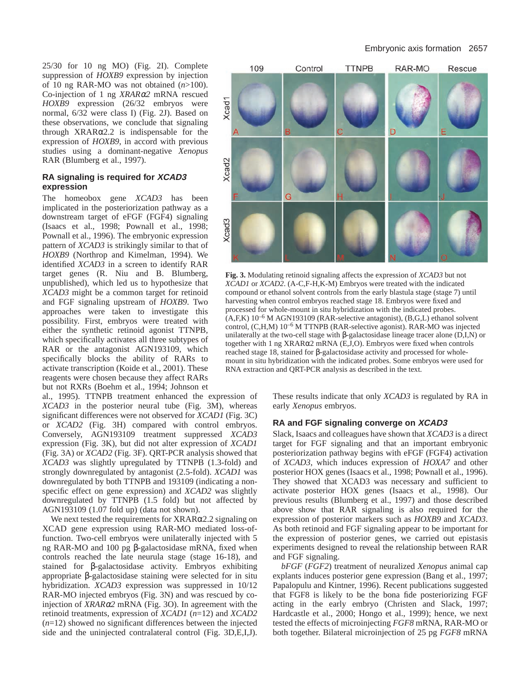25/30 for 10 ng MO) (Fig. 2I). Complete suppression of *HOXB9* expression by injection of 10 ng RAR-MO was not obtained (*n*>100). Co-injection of 1 ng *XRAR*α*2* mRNA rescued *HOXB9* expression (26/32 embryos were normal, 6/32 were class I) (Fig. 2J). Based on these observations, we conclude that signaling through XRARα2.2 is indispensable for the expression of *HOXB9*, in accord with previous studies using a dominant-negative *Xenopus* RAR (Blumberg et al., 1997).

## **RA signaling is required for XCAD3 expression**

The homeobox gene *XCAD3* has been implicated in the posteriorization pathway as a downstream target of eFGF (FGF4) signaling (Isaacs et al., 1998; Pownall et al., 1998; Pownall et al., 1996). The embryonic expression pattern of *XCAD3* is strikingly similar to that of *HOXB9* (Northrop and Kimelman, 1994). We identified *XCAD3* in a screen to identify RAR target genes (R. Niu and B. Blumberg, unpublished), which led us to hypothesize that *XCAD3* might be a common target for retinoid and FGF signaling upstream of *HOXB9*. Two approaches were taken to investigate this possibility. First, embryos were treated with either the synthetic retinoid agonist TTNPB, which specifically activates all three subtypes of RAR or the antagonist AGN193109, which specifically blocks the ability of RARs to activate transcription (Koide et al., 2001). These reagents were chosen because they affect RARs but not RXRs (Boehm et al., 1994; Johnson et

al., 1995). TTNPB treatment enhanced the expression of *XCAD3* in the posterior neural tube (Fig. 3M), whereas significant differences were not observed for *XCAD1* (Fig. 3C) or *XCAD2* (Fig. 3H) compared with control embryos. Conversely, AGN193109 treatment suppressed *XCAD3* expression (Fig. 3K), but did not alter expression of *XCAD1* (Fig. 3A) or *XCAD2* (Fig. 3F). QRT-PCR analysis showed that *XCAD3* was slightly upregulated by TTNPB (1.3-fold) and strongly downregulated by antagonist (2.5-fold). *XCAD1* was downregulated by both TTNPB and 193109 (indicating a nonspecific effect on gene expression) and *XCAD2* was slightly downregulated by TTNPB (1.5 fold) but not affected by AGN193109 (1.07 fold up) (data not shown).

We next tested the requirements for  $XRAR\alpha2.2$  signaling on XCAD gene expression using RAR-MO mediated loss-offunction. Two-cell embryos were unilaterally injected with 5 ng RAR-MO and 100 pg β-galactosidase mRNA, fixed when controls reached the late neurula stage (stage 16-18), and stained for β-galactosidase activity. Embryos exhibiting appropriate β-galactosidase staining were selected for in situ hybridization. *XCAD3* expression was suppressed in 10/12 RAR-MO injected embryos (Fig. 3N) and was rescued by coinjection of *XRAR*α*2* mRNA (Fig. 3O). In agreement with the retinoid treatments, expression of *XCAD1* (*n*=12) and *XCAD2* (*n*=12) showed no significant differences between the injected side and the uninjected contralateral control (Fig. 3D,E,I,J).



**Fig. 3.** Modulating retinoid signaling affects the expression of *XCAD3* but not *XCAD1* or *XCAD2*. (A-C,F-H,K-M) Embryos were treated with the indicated compound or ethanol solvent controls from the early blastula stage (stage 7) until harvesting when control embryos reached stage 18. Embryos were fixed and processed for whole-mount in situ hybridization with the indicated probes.  $(A, F, K)$  10<sup>-6</sup> M AGN193109 (RAR-selective antagonist), (B,G,L) ethanol solvent control, (C,H,M) 10–6 M TTNPB (RAR-selective agonist). RAR-MO was injected unilaterally at the two-cell stage with β-galactosidase lineage tracer alone  $(D,I,N)$  or together with 1 ng XRARα2 mRNA (E,J,O). Embryos were fixed when controls reached stage 18, stained for β-galactosidase activity and processed for wholemount in situ hybridization with the indicated probes. Some embryos were used for RNA extraction and QRT-PCR analysis as described in the text.

These results indicate that only *XCAD3* is regulated by RA in early *Xenopus* embryos.

## **RA and FGF signaling converge on XCAD3**

Slack, Isaacs and colleagues have shown that *XCAD3* is a direct target for FGF signaling and that an important embryonic posteriorization pathway begins with eFGF (FGF4) activation of *XCAD3*, which induces expression of *HOXA7* and other posterior HOX genes (Isaacs et al., 1998; Pownall et al., 1996). They showed that XCAD3 was necessary and sufficient to activate posterior HOX genes (Isaacs et al., 1998). Our previous results (Blumberg et al., 1997) and those described above show that RAR signaling is also required for the expression of posterior markers such as *HOXB9* and *XCAD3*. As both retinoid and FGF signaling appear to be important for the expression of posterior genes, we carried out epistasis experiments designed to reveal the relationship between RAR and FGF signaling.

*bFGF* (*FGF2*) treatment of neuralized *Xenopus* animal cap explants induces posterior gene expression (Bang et al., 1997; Papalopulu and Kintner, 1996). Recent publications suggested that FGF8 is likely to be the bona fide posteriorizing FGF acting in the early embryo (Christen and Slack, 1997; Hardcastle et al., 2000; Hongo et al., 1999); hence, we next tested the effects of microinjecting *FGF8* mRNA, RAR-MO or both together. Bilateral microinjection of 25 pg *FGF8* mRNA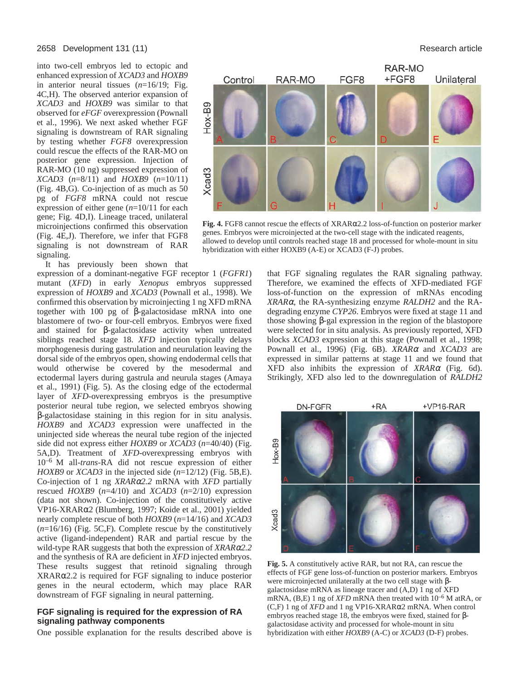#### 2658 Development 131 (11) Research article

into two-cell embryos led to ectopic and enhanced expression of *XCAD3* and *HOXB9* in anterior neural tissues (*n*=16/19; Fig. 4C,H). The observed anterior expansion of *XCAD3* and *HOXB9* was similar to that observed for *eFGF* overexpression (Pownall et al., 1996). We next asked whether FGF signaling is downstream of RAR signaling by testing whether *FGF8* overexpression could rescue the effects of the RAR-MO on posterior gene expression. Injection of RAR-MO (10 ng) suppressed expression of *XCAD3* (*n*=8/11) and *HOXB9* (*n*=10/11) (Fig. 4B,G). Co-injection of as much as 50 pg of *FGF8* mRNA could not rescue expression of either gene (*n*=10/11 for each gene; Fig. 4D,I). Lineage traced, unilateral microinjections confirmed this observation (Fig. 4E,J). Therefore, we infer that FGF8 signaling is not downstream of RAR signaling.

It has previously been shown that

expression of a dominant-negative FGF receptor 1 (*FGFR1*) mutant (*XFD*) in early *Xenopus* embryos suppressed expression of *HOXB9* and *XCAD3* (Pownall et al., 1998). We confirmed this observation by microinjecting 1 ng XFD mRNA together with 100 pg of β-galactosidase mRNA into one blastomere of two- or four-cell embryos. Embryos were fixed and stained for β-galactosidase activity when untreated siblings reached stage 18. *XFD* injection typically delays morphogenesis during gastrulation and neurulation leaving the dorsal side of the embryos open, showing endodermal cells that would otherwise be covered by the mesodermal and ectodermal layers during gastrula and neurula stages (Amaya et al., 1991) (Fig. 5). As the closing edge of the ectodermal layer of *XFD*-overexpressing embryos is the presumptive posterior neural tube region, we selected embryos showing β-galactosidase staining in this region for in situ analysis. *HOXB9* and *XCAD3* expression were unaffected in the uninjected side whereas the neural tube region of the injected side did not express either *HOXB9* or *XCAD3* (*n*=40/40) (Fig. 5A,D). Treatment of *XFD*-overexpressing embryos with 10–6 M all-*trans*-RA did not rescue expression of either *HOXB9* or *XCAD3* in the injected side (*n*=12/12) (Fig. 5B,E). Co-injection of 1 ng *XRAR*α*2.2* mRNA with *XFD* partially rescued *HOXB9* (*n*=4/10) and *XCAD3* (*n*=2/10) expression (data not shown). Co-injection of the constitutively active VP16-XRARα2 (Blumberg, 1997; Koide et al., 2001) yielded nearly complete rescue of both *HOXB9* (*n*=14/16) and *XCAD3* (*n*=16/16) (Fig. 5C,F). Complete rescue by the constitutively active (ligand-independent) RAR and partial rescue by the wild-type RAR suggests that both the expression of *XRAR*α*2.2* and the synthesis of RA are deficient in *XFD* injected embryos. These results suggest that retinoid signaling through XRARα2.2 is required for FGF signaling to induce posterior genes in the neural ectoderm, which may place RAR downstream of FGF signaling in neural patterning.

## **FGF signaling is required for the expression of RA signaling pathway components**

One possible explanation for the results described above is



**Fig. 4.** FGF8 cannot rescue the effects of XRARα2.2 loss-of-function on posterior marker genes. Embryos were microinjected at the two-cell stage with the indicated reagents, allowed to develop until controls reached stage 18 and processed for whole-mount in situ hybridization with either HOXB9 (A-E) or XCAD3 (F-J) probes.

that FGF signaling regulates the RAR signaling pathway. Therefore, we examined the effects of XFD-mediated FGF loss-of-function on the expression of mRNAs encoding *XRAR*α, the RA-synthesizing enzyme *RALDH2* and the RAdegrading enzyme *CYP26*. Embryos were fixed at stage 11 and those showing β-gal expression in the region of the blastopore were selected for in situ analysis. As previously reported, XFD blocks *XCAD3* expression at this stage (Pownall et al., 1998; Pownall et al., 1996) (Fig. 6B). *XRAR*<sup>α</sup> and *XCAD3* are expressed in similar patterns at stage 11 and we found that XFD also inhibits the expression of *XRAR*<sup>α</sup> (Fig. 6d). Strikingly, XFD also led to the downregulation of *RALDH2*



**Fig. 5.** A constitutively active RAR, but not RA, can rescue the effects of FGF gene loss-of-function on posterior markers. Embryos were microinjected unilaterally at the two cell stage with βgalactosidase mRNA as lineage tracer and (A,D) 1 ng of XFD mRNA, (B,E) 1 ng of *XFD* mRNA then treated with  $10^{-6}$  M atRA, or (C,F) 1 ng of *XFD* and 1 ng VP16-XRARα2 mRNA. When control embryos reached stage 18, the embryos were fixed, stained for βgalactosidase activity and processed for whole-mount in situ hybridization with either *HOXB9* (A-C) or *XCAD3* (D-F) probes.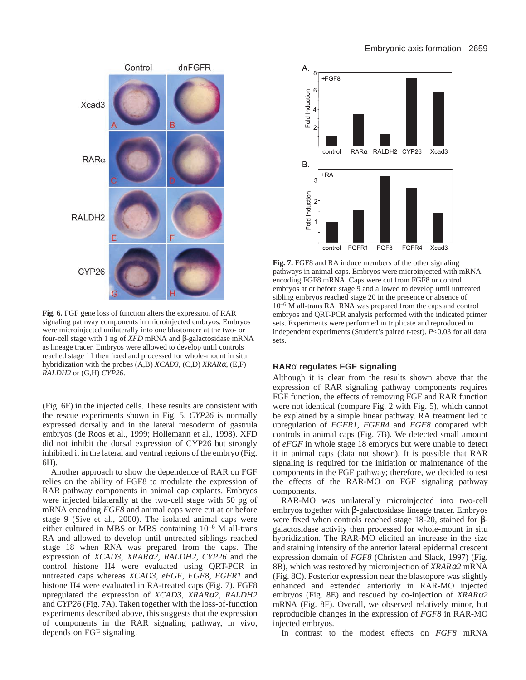

**Fig. 6.** FGF gene loss of function alters the expression of RAR signaling pathway components in microinjected embryos. Embryos were microinjected unilaterally into one blastomere at the two- or four-cell stage with 1 ng of *XFD* mRNA and β-galactosidase mRNA as lineage tracer. Embryos were allowed to develop until controls reached stage 11 then fixed and processed for whole-mount in situ hybridization with the probes (A,B) *XCAD3*, (C,D) *XRAR*α, (E,F) *RALDH2* or (G,H) *CYP26*.

(Fig. 6F) in the injected cells. These results are consistent with the rescue experiments shown in Fig. 5. *CYP26* is normally expressed dorsally and in the lateral mesoderm of gastrula embryos (de Roos et al., 1999; Hollemann et al., 1998). XFD did not inhibit the dorsal expression of CYP26 but strongly inhibited it in the lateral and ventral regions of the embryo (Fig. 6H).

Another approach to show the dependence of RAR on FGF relies on the ability of FGF8 to modulate the expression of RAR pathway components in animal cap explants. Embryos were injected bilaterally at the two-cell stage with 50 pg of mRNA encoding *FGF8* and animal caps were cut at or before stage 9 (Sive et al., 2000). The isolated animal caps were either cultured in MBS or MBS containing 10–6 M all-trans RA and allowed to develop until untreated siblings reached stage 18 when RNA was prepared from the caps. The expression of *XCAD3*, *XRAR*α*2*, *RALDH2*, *CYP26* and the control histone H4 were evaluated using QRT-PCR in untreated caps whereas *XCAD3*, *eFGF*, *FGF8*, *FGFR1* and histone H4 were evaluated in RA-treated caps (Fig. 7). FGF8 upregulated the expression of *XCAD3*, *XRAR*α*2*, *RALDH2* and *CYP26* (Fig. 7A). Taken together with the loss-of-function experiments described above, this suggests that the expression of components in the RAR signaling pathway, in vivo, depends on FGF signaling.



**Fig. 7.** FGF8 and RA induce members of the other signaling pathways in animal caps. Embryos were microinjected with mRNA encoding FGF8 mRNA. Caps were cut from FGF8 or control embryos at or before stage 9 and allowed to develop until untreated sibling embryos reached stage 20 in the presence or absence of 10–6 M all-trans RA. RNA was prepared from the caps and control embryos and QRT-PCR analysis performed with the indicated primer sets. Experiments were performed in triplicate and reproduced in independent experiments (Student's paired *t*-test). *P*<0.03 for all data sets.

## **RAR**α **regulates FGF signaling**

Although it is clear from the results shown above that the expression of RAR signaling pathway components requires FGF function, the effects of removing FGF and RAR function were not identical (compare Fig. 2 with Fig. 5), which cannot be explained by a simple linear pathway. RA treatment led to upregulation of *FGFR1*, *FGFR4* and *FGF8* compared with controls in animal caps (Fig. 7B). We detected small amount of *eFGF* in whole stage 18 embryos but were unable to detect it in animal caps (data not shown). It is possible that RAR signaling is required for the initiation or maintenance of the components in the FGF pathway; therefore, we decided to test the effects of the RAR-MO on FGF signaling pathway components.

RAR-MO was unilaterally microinjected into two-cell embryos together with β-galactosidase lineage tracer. Embryos were fixed when controls reached stage 18-20, stained for βgalactosidase activity then processed for whole-mount in situ hybridization. The RAR-MO elicited an increase in the size and staining intensity of the anterior lateral epidermal crescent expression domain of *FGF8* (Christen and Slack, 1997) (Fig. 8B), which was restored by microinjection of *XRAR*α*2* mRNA (Fig. 8C). Posterior expression near the blastopore was slightly enhanced and extended anteriorly in RAR-MO injected embryos (Fig. 8E) and rescued by co-injection of *XRAR*α*2* mRNA (Fig. 8F). Overall, we observed relatively minor, but reproducible changes in the expression of *FGF8* in RAR-MO injected embryos.

In contrast to the modest effects on *FGF8* mRNA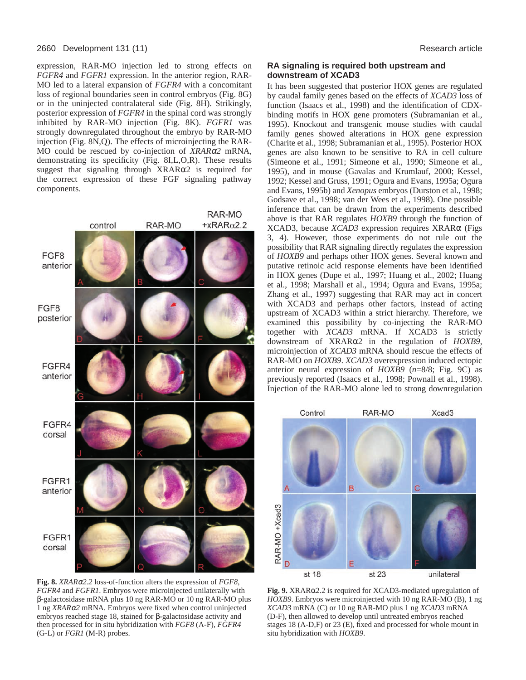#### 2660 Development 131 (11) Research article

expression, RAR-MO injection led to strong effects on *FGFR4* and *FGFR1* expression. In the anterior region, RAR-MO led to a lateral expansion of *FGFR4* with a concomitant loss of regional boundaries seen in control embryos (Fig. 8G) or in the uninjected contralateral side (Fig. 8H). Strikingly, posterior expression of *FGFR4* in the spinal cord was strongly inhibited by RAR-MO injection (Fig. 8K). *FGFR1* was strongly downregulated throughout the embryo by RAR-MO injection (Fig. 8N,Q). The effects of microinjecting the RAR-MO could be rescued by co-injection of *XRAR*α*2* mRNA, demonstrating its specificity (Fig. 8I,L,O,R). These results suggest that signaling through XRARα2 is required for the correct expression of these FGF signaling pathway components.



**Fig. 8.** *XRAR*α*2.2* loss-of-function alters the expression of *FGF8*, *FGFR4* and *FGFR1*. Embryos were microinjected unilaterally with β-galactosidase mRNA plus 10 ng RAR-MO or 10 ng RAR-MO plus 1 ng *XRAR*α*2* mRNA. Embryos were fixed when control uninjected embryos reached stage 18, stained for β-galactosidase activity and then processed for in situ hybridization with *FGF8* (A-F), *FGFR4* (G-L) or *FGR1* (M-R) probes.

## **RA signaling is required both upstream and downstream of XCAD3**

It has been suggested that posterior HOX genes are regulated by caudal family genes based on the effects of *XCAD3* loss of function (Isaacs et al., 1998) and the identification of CDXbinding motifs in HOX gene promoters (Subramanian et al., 1995). Knockout and transgenic mouse studies with caudal family genes showed alterations in HOX gene expression (Charite et al., 1998; Subramanian et al., 1995). Posterior HOX genes are also known to be sensitive to RA in cell culture (Simeone et al., 1991; Simeone et al., 1990; Simeone et al., 1995), and in mouse (Gavalas and Krumlauf, 2000; Kessel, 1992; Kessel and Gruss, 1991; Ogura and Evans, 1995a; Ogura and Evans, 1995b) and *Xenopus* embryos (Durston et al., 1998; Godsave et al., 1998; van der Wees et al., 1998). One possible inference that can be drawn from the experiments described above is that RAR regulates *HOXB9* through the function of XCAD3, because *XCAD3* expression requires XRARα (Figs 3, 4). However, those experiments do not rule out the possibility that RAR signaling directly regulates the expression of *HOXB9* and perhaps other HOX genes. Several known and putative retinoic acid response elements have been identified in HOX genes (Dupe et al., 1997; Huang et al., 2002; Huang et al., 1998; Marshall et al., 1994; Ogura and Evans, 1995a; Zhang et al., 1997) suggesting that RAR may act in concert with XCAD3 and perhaps other factors, instead of acting upstream of XCAD3 within a strict hierarchy. Therefore, we examined this possibility by co-injecting the RAR-MO together with *XCAD3* mRNA. If XCAD3 is strictly downstream of XRARα2 in the regulation of *HOXB9*, microinjection of *XCAD3* mRNA should rescue the effects of RAR-MO on *HOXB9*. *XCAD3* overexpression induced ectopic anterior neural expression of *HOXB9* (*n*=8/8; Fig. 9C) as previously reported (Isaacs et al., 1998; Pownall et al., 1998). Injection of the RAR-MO alone led to strong downregulation

![](_page_7_Figure_7.jpeg)

**Fig. 9.** XRARα2.2 is required for XCAD3-mediated upregulation of *HOXB9*. Embryos were microinjected with 10 ng RAR-MO (B), 1 ng *XCAD3* mRNA (C) or 10 ng RAR-MO plus 1 ng *XCAD3* mRNA (D-F), then allowed to develop until untreated embryos reached stages 18 (A-D,F) or 23 (E), fixed and processed for whole mount in situ hybridization with *HOXB9*.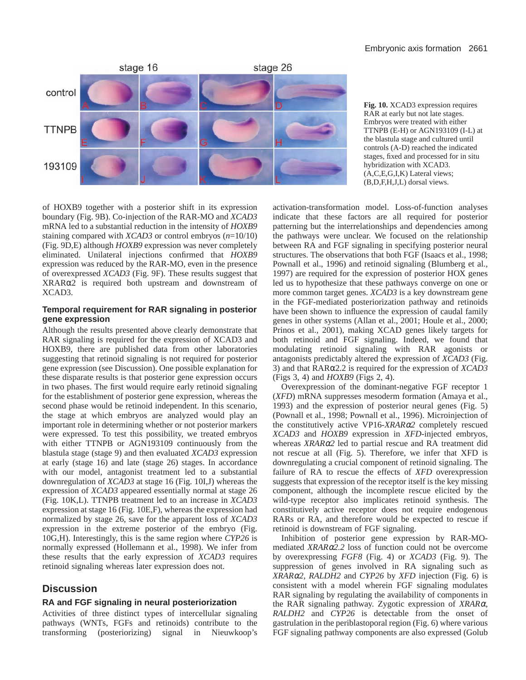![](_page_8_Figure_1.jpeg)

**Fig. 10.** XCAD3 expression requires RAR at early but not late stages. Embryos were treated with either TTNPB (E-H) or AGN193109 (I-L) at the blastula stage and cultured until controls (A-D) reached the indicated stages, fixed and processed for in situ hybridization with XCAD3. (A,C,E,G,I,K) Lateral views; (B,D,F,H,J,L) dorsal views.

of HOXB9 together with a posterior shift in its expression boundary (Fig. 9B). Co-injection of the RAR-MO and *XCAD3* mRNA led to a substantial reduction in the intensity of *HOXB9* staining compared with *XCAD3* or control embryos (*n*=10/10) (Fig. 9D,E) although *HOXB9* expression was never completely eliminated. Unilateral injections confirmed that *HOXB9* expression was reduced by the RAR-MO, even in the presence of overexpressed *XCAD3* (Fig. 9F). These results suggest that XRARα2 is required both upstream and downstream of XCAD3.

## **Temporal requirement for RAR signaling in posterior gene expression**

Although the results presented above clearly demonstrate that RAR signaling is required for the expression of XCAD3 and HOXB9, there are published data from other laboratories suggesting that retinoid signaling is not required for posterior gene expression (see Discussion). One possible explanation for these disparate results is that posterior gene expression occurs in two phases. The first would require early retinoid signaling for the establishment of posterior gene expression, whereas the second phase would be retinoid independent. In this scenario, the stage at which embryos are analyzed would play an important role in determining whether or not posterior markers were expressed. To test this possibility, we treated embryos with either TTNPB or AGN193109 continuously from the blastula stage (stage 9) and then evaluated *XCAD3* expression at early (stage 16) and late (stage 26) stages. In accordance with our model, antagonist treatment led to a substantial downregulation of *XCAD3* at stage 16 (Fig. 10I,J) whereas the expression of *XCAD3* appeared essentially normal at stage 26 (Fig. 10K,L). TTNPB treatment led to an increase in *XCAD3* expression at stage 16 (Fig. 10E,F), whereas the expression had normalized by stage 26, save for the apparent loss of *XCAD3* expression in the extreme posterior of the embryo (Fig. 10G,H). Interestingly, this is the same region where *CYP26* is normally expressed (Hollemann et al., 1998). We infer from these results that the early expression of *XCAD3* requires retinoid signaling whereas later expression does not.

# **Discussion**

## **RA and FGF signaling in neural posteriorization**

Activities of three distinct types of intercellular signaling pathways (WNTs, FGFs and retinoids) contribute to the transforming (posteriorizing) signal in Nieuwkoop's

activation-transformation model. Loss-of-function analyses indicate that these factors are all required for posterior patterning but the interrelationships and dependencies among the pathways were unclear. We focused on the relationship between RA and FGF signaling in specifying posterior neural structures. The observations that both FGF (Isaacs et al., 1998; Pownall et al., 1996) and retinoid signaling (Blumberg et al., 1997) are required for the expression of posterior HOX genes led us to hypothesize that these pathways converge on one or more common target genes. *XCAD3* is a key downstream gene in the FGF-mediated posteriorization pathway and retinoids have been shown to influence the expression of caudal family genes in other systems (Allan et al., 2001; Houle et al., 2000; Prinos et al., 2001), making XCAD genes likely targets for both retinoid and FGF signaling. Indeed, we found that modulating retinoid signaling with RAR agonists or antagonists predictably altered the expression of *XCAD3* (Fig. 3) and that RARα2.2 is required for the expression of *XCAD3* (Figs 3, 4) and *HOXB9* (Figs 2, 4).

Overexpression of the dominant-negative FGF receptor 1 (*XFD*) mRNA suppresses mesoderm formation (Amaya et al., 1993) and the expression of posterior neural genes (Fig. 5) (Pownall et al., 1998; Pownall et al., 1996). Microinjection of the constitutively active VP16-*XRAR*α*2* completely rescued *XCAD3* and *HOXB9* expression in *XFD*-injected embryos, whereas *XRAR*α*2* led to partial rescue and RA treatment did not rescue at all (Fig. 5). Therefore, we infer that XFD is downregulating a crucial component of retinoid signaling. The failure of RA to rescue the effects of *XFD* overexpression suggests that expression of the receptor itself is the key missing component, although the incomplete rescue elicited by the wild-type receptor also implicates retinoid synthesis. The constitutively active receptor does not require endogenous RARs or RA, and therefore would be expected to rescue if retinoid is downstream of FGF signaling.

Inhibition of posterior gene expression by RAR-MOmediated *XRAR*α*2.2* loss of function could not be overcome by overexpressing *FGF8* (Fig. 4) or *XCAD3* (Fig. 9). The suppression of genes involved in RA signaling such as *XRAR*α*2*, *RALDH2* and *CYP26* by *XFD* injection (Fig. 6) is consistent with a model wherein FGF signaling modulates RAR signaling by regulating the availability of components in the RAR signaling pathway. Zygotic expression of *XRAR*α, *RALDH2* and *CYP26* is detectable from the onset of gastrulation in the periblastoporal region (Fig. 6) where various FGF signaling pathway components are also expressed (Golub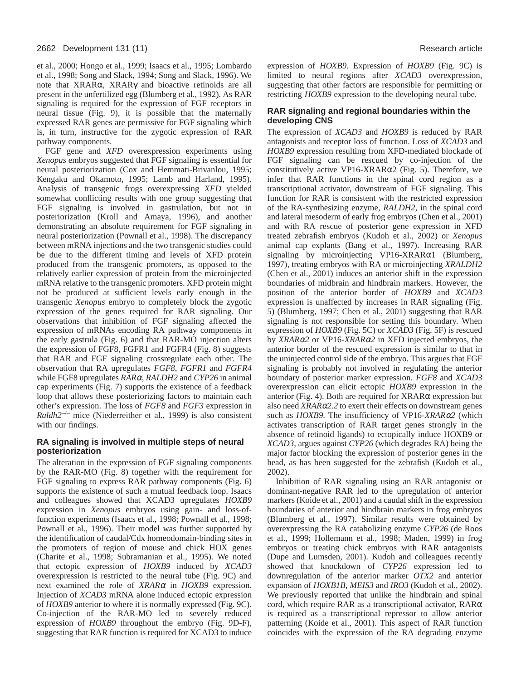et al., 2000; Hongo et al., 1999; Isaacs et al., 1995; Lombardo et al., 1998; Song and Slack, 1994; Song and Slack, 1996). We note that XRARα, XRARγ and bioactive retinoids are all present in the unfertilized egg (Blumberg et al., 1992). As RAR signaling is required for the expression of FGF receptors in neural tissue (Fig. 9), it is possible that the maternally expressed RAR genes are permissive for FGF signaling which is, in turn, instructive for the zygotic expression of RAR pathway components.

FGF gene and *XFD* overexpression experiments using *Xenopus* embryos suggested that FGF signaling is essential for neural posteriorization (Cox and Hemmati-Brivanlou, 1995; Kengaku and Okamoto, 1995; Lamb and Harland, 1995). Analysis of transgenic frogs overexpressing *XFD* yielded somewhat conflicting results with one group suggesting that FGF signaling is involved in gastrulation, but not in posteriorization (Kroll and Amaya, 1996), and another demonstrating an absolute requirement for FGF signaling in neural posteriorization (Pownall et al., 1998). The discrepancy between mRNA injections and the two transgenic studies could be due to the different timing and levels of XFD protein produced from the transgenic promoters, as opposed to the relatively earlier expression of protein from the microinjected mRNA relative to the transgenic promoters. XFD protein might not be produced at sufficient levels early enough in the transgenic *Xenopus* embryo to completely block the zygotic expression of the genes required for RAR signaling. Our observations that inhibition of FGF signaling affected the expression of mRNAs encoding RA pathway components in the early gastrula (Fig. 6) and that RAR-MO injection alters the expression of FGF8, FGFR1 and FGFR4 (Fig. 8) suggests that RAR and FGF signaling crossregulate each other. The observation that RA upregulates *FGF8*, *FGFR1* and *FGFR4* while FGF8 upregulates *RAR*α, *RALDH2* and *CYP26* in animal cap experiments (Fig. 7) supports the existence of a feedback loop that allows these posteriorizing factors to maintain each other's expression. The loss of *FGF8* and *FGF3* expression in *Raldh2*–/– mice (Niederreither et al., 1999) is also consistent with our findings.

# **RA signaling is involved in multiple steps of neural posteriorization**

The alteration in the expression of FGF signaling components by the RAR-MO (Fig. 8) together with the requirement for FGF signaling to express RAR pathway components (Fig. 6) supports the existence of such a mutual feedback loop. Isaacs and colleagues showed that XCAD3 upregulates *HOXB9* expression in *Xenopus* embryos using gain- and loss-offunction experiments (Isaacs et al., 1998; Pownall et al., 1998; Pownall et al., 1996). Their model was further supported by the identification of caudal/Cdx homeodomain-binding sites in the promoters of region of mouse and chick HOX genes (Charite et al., 1998; Subramanian et al., 1995). We noted that ectopic expression of *HOXB9* induced by *XCAD3* overexpression is restricted to the neural tube (Fig. 9C) and next examined the role of *XRAR*<sup>α</sup> in *HOXB9* expression. Injection of *XCAD3* mRNA alone induced ectopic expression of *HOXB9* anterior to where it is normally expressed (Fig. 9C). Co-injection of the RAR-MO led to severely reduced expression of *HOXB9* throughout the embryo (Fig. 9D-F), suggesting that RAR function is required for XCAD3 to induce

expression of *HOXB9*. Expression of *HOXB9* (Fig. 9C) is limited to neural regions after *XCAD3* overexpression, suggesting that other factors are responsible for permitting or restricting *HOXB9* expression to the developing neural tube.

# **RAR signaling and regional boundaries within the developing CNS**

The expression of *XCAD3* and *HOXB9* is reduced by RAR antagonists and receptor loss of function. Loss of *XCAD3* and *HOXB9* expression resulting from XFD-mediated blockade of FGF signaling can be rescued by co-injection of the constitutively active VP16-XRARα2 (Fig. 5). Therefore, we infer that RAR functions in the spinal cord region as a transcriptional activator, downstream of FGF signaling. This function for RAR is consistent with the restricted expression of the RA-synthesizing enzyme, *RALDH2*, in the spinal cord and lateral mesoderm of early frog embryos (Chen et al., 2001) and with RA rescue of posterior gene expression in XFD treated zebrafish embryos (Kudoh et al., 2002) or *Xenopus* animal cap explants (Bang et al., 1997). Increasing RAR signaling by microinjecting VP16-XRARα1 (Blumberg, 1997), treating embryos with RA or microinjecting *XRALDH2* (Chen et al., 2001) induces an anterior shift in the expression boundaries of midbrain and hindbrain markers. However, the position of the anterior border of *HOXB9* and *XCAD3* expression is unaffected by increases in RAR signaling (Fig. 5) (Blumberg, 1997; Chen et al., 2001) suggesting that RAR signaling is not responsible for setting this boundary. When expression of *HOXB9* (Fig. 5C) or *XCAD3* (Fig. 5F) is rescued by *XRAR*α*2* or VP16-*XRAR*α*2* in XFD injected embryos, the anterior border of the rescued expression is similar to that in the uninjected control side of the embryo. This argues that FGF signaling is probably not involved in regulating the anterior boundary of posterior marker expression. *FGF8* and *XCAD3* overexpression can elicit ectopic *HOXB9* expression in the anterior (Fig. 4). Both are required for XRARα expression but also need *XRAR*α*2.2* to exert their effects on downstream genes such as *HOXB9*. The insufficiency of VP16-*XRAR*α*2* (which activates transcription of RAR target genes strongly in the absence of retinoid ligands) to ectopically induce HOXB9 or *XCAD3*, argues against *CYP26* (which degrades RA) being the major factor blocking the expression of posterior genes in the head, as has been suggested for the zebrafish (Kudoh et al., 2002).

Inhibition of RAR signaling using an RAR antagonist or dominant-negative RAR led to the upregulation of anterior markers (Koide et al., 2001) and a caudal shift in the expression boundaries of anterior and hindbrain markers in frog embryos (Blumberg et al., 1997). Similar results were obtained by overexpressing the RA catabolizing enzyme *CYP26* (de Roos et al., 1999; Hollemann et al., 1998; Maden, 1999) in frog embryos or treating chick embryos with RAR antagonists (Dupe and Lumsden, 2001). Kudoh and colleagues recently showed that knockdown of *CYP26* expression led to downregulation of the anterior marker *OTX2* and anterior expansion of *HOXB1B*, *MEIS3* and *IRO3* (Kudoh et al., 2002). We previously reported that unlike the hindbrain and spinal cord, which require RAR as a transcriptional activator, RARα is required as a transcriptional repressor to allow anterior patterning (Koide et al., 2001). This aspect of RAR function coincides with the expression of the RA degrading enzyme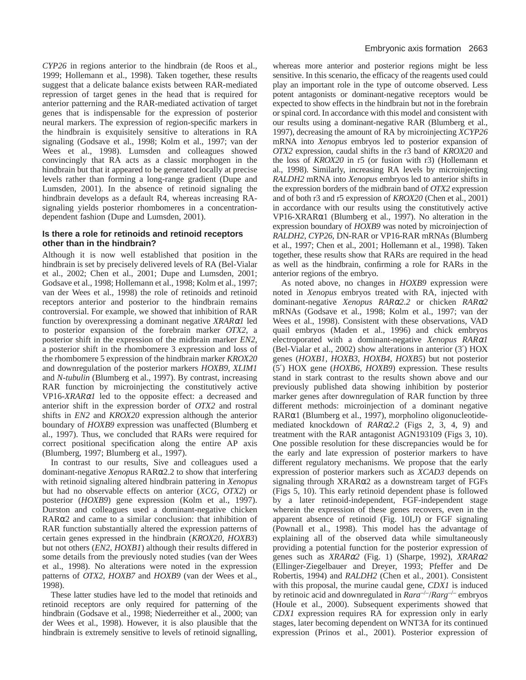*CYP26* in regions anterior to the hindbrain (de Roos et al., 1999; Hollemann et al., 1998). Taken together, these results suggest that a delicate balance exists between RAR-mediated repression of target genes in the head that is required for anterior patterning and the RAR-mediated activation of target genes that is indispensable for the expression of posterior neural markers. The expression of region-specific markers in the hindbrain is exquisitely sensitive to alterations in RA signaling (Godsave et al., 1998; Kolm et al., 1997; van der Wees et al., 1998). Lumsden and colleagues showed convincingly that RA acts as a classic morphogen in the hindbrain but that it appeared to be generated locally at precise levels rather than forming a long-range gradient (Dupe and Lumsden, 2001). In the absence of retinoid signaling the hindbrain develops as a default R4, whereas increasing RAsignaling yields posterior rhombomeres in a concentrationdependent fashion (Dupe and Lumsden, 2001).

## **Is there a role for retinoids and retinoid receptors other than in the hindbrain?**

Although it is now well established that position in the hindbrain is set by precisely delivered levels of RA (Bel-Vialar et al., 2002; Chen et al., 2001; Dupe and Lumsden, 2001; Godsave et al., 1998; Hollemann et al., 1998; Kolm et al., 1997; van der Wees et al., 1998) the role of retinoids and retinoid receptors anterior and posterior to the hindbrain remains controversial. For example, we showed that inhibition of RAR function by overexpressing a dominant negative *XRAR*α*1* led to posterior expansion of the forebrain marker *OTX2*, a posterior shift in the expression of the midbrain marker *EN2*, a posterior shift in the rhombomere 3 expression and loss of the rhombomere 5 expression of the hindbrain marker *KROX20* and downregulation of the posterior markers *HOXB9*, *XLIM1* and *N-tubulin* (Blumberg et al., 1997). By contrast, increasing RAR function by microinjecting the constitutively active VP16-*XRAR*α*1* led to the opposite effect: a decreased and anterior shift in the expression border of *OTX2* and rostral shifts in *EN2* and *KROX20* expression although the anterior boundary of *HOXB9* expression was unaffected (Blumberg et al., 1997). Thus, we concluded that RARs were required for correct positional specification along the entire AP axis (Blumberg, 1997; Blumberg et al., 1997).

In contrast to our results, Sive and colleagues used a dominant-negative *Xenopus* RARα2.2 to show that interfering with retinoid signaling altered hindbrain pattering in *Xenopus* but had no observable effects on anterior (*XCG*, *OTX2*) or posterior (*HOXB9*) gene expression (Kolm et al., 1997). Durston and colleagues used a dominant-negative chicken RARα2 and came to a similar conclusion: that inhibition of RAR function substantially altered the expression patterns of certain genes expressed in the hindbrain (*KROX20*, *HOXB3*) but not others (*EN2*, *HOXB1*) although their results differed in some details from the previously noted studies (van der Wees et al., 1998). No alterations were noted in the expression patterns of *OTX2*, *HOXB7* and *HOXB9* (van der Wees et al., 1998).

These latter studies have led to the model that retinoids and retinoid receptors are only required for patterning of the hindbrain (Godsave et al., 1998; Niederreither et al., 2000; van der Wees et al., 1998). However, it is also plausible that the hindbrain is extremely sensitive to levels of retinoid signalling,

whereas more anterior and posterior regions might be less sensitive. In this scenario, the efficacy of the reagents used could play an important role in the type of outcome observed. Less potent antagonists or dominant-negative receptors would be expected to show effects in the hindbrain but not in the forebrain or spinal cord. In accordance with this model and consistent with our results using a dominant-negative RAR (Blumberg et al., 1997), decreasing the amount of RA by microinjecting *XCYP26* mRNA into *Xenopus* embryos led to posterior expansion of *OTX2* expression, caudal shifts in the r3 band of *KROX20* and the loss of *KROX20* in r5 (or fusion with r3) (Hollemann et al., 1998). Similarly, increasing RA levels by microinjecting *RALDH2* mRNA into *Xenopus* embryos led to anterior shifts in the expression borders of the midbrain band of *OTX2* expression and of both r3 and r5 expression of *KROX20* (Chen et al., 2001) in accordance with our results using the constitutively active VP16-XRARα1 (Blumberg et al., 1997). No alteration in the expression boundary of *HOXB9* was noted by microinjection of *RALDH2*, *CYP26*, DN-RAR or VP16-RAR mRNAs (Blumberg et al., 1997; Chen et al., 2001; Hollemann et al., 1998). Taken together, these results show that RARs are required in the head as well as the hindbrain, confirming a role for RARs in the anterior regions of the embryo.

As noted above, no changes in *HOXB9* expression were noted in *Xenopus* embryos treated with RA, injected with dominant-negative *Xenopus RAR*α*2.2* or chicken *RAR*α*2* mRNAs (Godsave et al., 1998; Kolm et al., 1997; van der Wees et al., 1998). Consistent with these observations, VAD quail embryos (Maden et al., 1996) and chick embryos electroporated with a dominant-negative *Xenopus RAR*α*1* (Bel-Vialar et al., 2002) show alterations in anterior (3′) HOX genes (*HOXB1*, *HOXB3*, *HOXB4*, *HOXB5*) but not posterior (5′) HOX gene (*HOXB6*, *HOXB9*) expression. These results stand in stark contrast to the results shown above and our previously published data showing inhibition by posterior marker genes after downregulation of RAR function by three different methods: microinjection of a dominant negative RARα1 (Blumberg et al., 1997), morpholino oligonucleotidemediated knockdown of *RAR*α*2.2* (Figs 2, 3, 4, 9) and treatment with the RAR antagonist AGN193109 (Figs 3, 10). One possible resolution for these discrepancies would be for the early and late expression of posterior markers to have different regulatory mechanisms. We propose that the early expression of posterior markers such as *XCAD3* depends on signaling through XRARα2 as a downstream target of FGFs (Figs 5, 10). This early retinoid dependent phase is followed by a later retinoid-independent, FGF-independent stage wherein the expression of these genes recovers, even in the apparent absence of retinoid (Fig. 10I,J) or FGF signaling (Pownall et al., 1998). This model has the advantage of explaining all of the observed data while simultaneously providing a potential function for the posterior expression of genes such as *XRAR*α*2* (Fig. 1) (Sharpe, 1992), *XRAR*α*2* (Ellinger-Ziegelbauer and Dreyer, 1993; Pfeffer and De Robertis, 1994) and *RALDH2* (Chen et al., 2001). Consistent with this proposal, the murine caudal gene, *CDX1* is induced by retinoic acid and downregulated in *Rara*–/–/*Rarg*–/– embryos (Houle et al., 2000). Subsequent experiments showed that *CDX1* expression requires RA for expression only in early stages, later becoming dependent on WNT3A for its continued expression (Prinos et al., 2001). Posterior expression of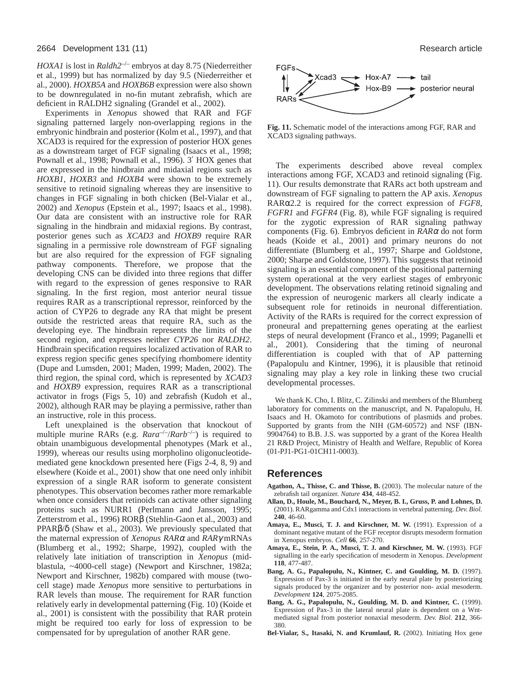*HOXA1* is lost in *Raldh2*–/– embryos at day 8.75 (Niederreither et al., 1999) but has normalized by day 9.5 (Niederreither et al., 2000). *HOXB5A* and *HOXB6B* expression were also shown to be downregulated in no-fin mutant zebrafish, which are deficient in RALDH2 signaling (Grandel et al., 2002).

Experiments in *Xenopus* showed that RAR and FGF signaling patterned largely non-overlapping regions in the embryonic hindbrain and posterior (Kolm et al., 1997), and that XCAD3 is required for the expression of posterior HOX genes as a downstream target of FGF signaling (Isaacs et al., 1998; Pownall et al., 1998; Pownall et al., 1996). 3′ HOX genes that are expressed in the hindbrain and midaxial regions such as *HOXB1*, *HOXB3* and *HOXB4* were shown to be extremely sensitive to retinoid signaling whereas they are insensitive to changes in FGF signaling in both chicken (Bel-Vialar et al., 2002) and *Xenopus* (Epstein et al., 1997; Isaacs et al., 1998). Our data are consistent with an instructive role for RAR signaling in the hindbrain and midaxial regions. By contrast, posterior genes such as *XCAD3* and *HOXB9* require RAR signaling in a permissive role downstream of FGF signaling but are also required for the expression of FGF signaling pathway components. Therefore, we propose that the developing CNS can be divided into three regions that differ with regard to the expression of genes responsive to RAR signaling. In the first region, most anterior neural tissue requires RAR as a transcriptional repressor, reinforced by the action of CYP26 to degrade any RA that might be present outside the restricted areas that require RA, such as the developing eye. The hindbrain represents the limits of the second region, and expresses neither *CYP26* nor *RALDH2*. Hindbrain specification requires localized activation of RAR to express region specific genes specifying rhombomere identity (Dupe and Lumsden, 2001; Maden, 1999; Maden, 2002). The third region, the spinal cord, which is represented by *XCAD3* and *HOXB9* expression, requires RAR as a transcriptional activator in frogs (Figs 5, 10) and zebrafish (Kudoh et al., 2002), although RAR may be playing a permissive, rather than an instructive, role in this process.

Left unexplained is the observation that knockout of multiple murine RARs (e.g.  $Rara^{-/-}/Rarb^{-/-}$ ) is required to obtain unambiguous developmental phenotypes (Mark et al., 1999), whereas our results using morpholino oligonucleotidemediated gene knockdown presented here (Figs 2-4, 8, 9) and elsewhere (Koide et al., 2001) show that one need only inhibit expression of a single RAR isoform to generate consistent phenotypes. This observation becomes rather more remarkable when once considers that retinoids can activate other signaling proteins such as NURR1 (Perlmann and Jansson, 1995; Zetterstrom et al., 1996) RORβ (Stehlin-Gaon et al., 2003) and PPARβ/δ (Shaw et al., 2003). We previously speculated that the maternal expression of *Xenopus RAR*<sup>α</sup> and *RAR*γ mRNAs (Blumberg et al., 1992; Sharpe, 1992), coupled with the relatively late initiation of transcription in *Xenopus* (midblastula, ~4000-cell stage) (Newport and Kirschner, 1982a; Newport and Kirschner, 1982b) compared with mouse (twocell stage) made *Xenopus* more sensitive to perturbations in RAR levels than mouse. The requirement for RAR function relatively early in developmental patterning (Fig. 10) (Koide et al., 2001) is consistent with the possibility that RAR protein might be required too early for loss of expression to be compensated for by upregulation of another RAR gene.

![](_page_11_Figure_5.jpeg)

**Fig. 11.** Schematic model of the interactions among FGF, RAR and XCAD3 signaling pathways.

The experiments described above reveal complex interactions among FGF, XCAD3 and retinoid signaling (Fig. 11). Our results demonstrate that RARs act both upstream and downstream of FGF signaling to pattern the AP axis. *Xenopus* RARα2.2 is required for the correct expression of *FGF8*, *FGFR1* and *FGFR4* (Fig. 8), while FGF signaling is required for the zygotic expression of RAR signaling pathway components (Fig. 6). Embryos deficient in *RAR*<sup>α</sup> do not form heads (Koide et al., 2001) and primary neurons do not differentiate (Blumberg et al., 1997; Sharpe and Goldstone, 2000; Sharpe and Goldstone, 1997). This suggests that retinoid signaling is an essential component of the positional patterning system operational at the very earliest stages of embryonic development. The observations relating retinoid signaling and the expression of neurogenic markers all clearly indicate a subsequent role for retinoids in neuronal differentiation. Activity of the RARs is required for the correct expression of proneural and prepatterning genes operating at the earliest steps of neural development (Franco et al., 1999; Paganelli et al., 2001). Considering that the timing of neuronal differentiation is coupled with that of AP patterning (Papalopulu and Kintner, 1996), it is plausible that retinoid signaling may play a key role in linking these two crucial developmental processes.

We thank K. Cho, I. Blitz, C. Zilinski and members of the Blumberg laboratory for comments on the manuscript, and N. Papalopulu, H. Isaacs and H. Okamoto for contributions of plasmids and probes. Supported by grants from the NIH (GM-60572) and NSF (IBN-9904764) to B.B. J.S. was supported by a grant of the Korea Health 21 R&D Project, Ministry of Health and Welfare, Republic of Korea (01-PJ1-PG1-01CH11-0003).

## **References**

- **Agathon, A., Thisse, C. and Thisse, B.** (2003). The molecular nature of the zebrafish tail organizer. *Nature* **434**, 448-452.
- **Allan, D., Houle, M., Bouchard, N., Meyer, B. I., Gruss, P. and Lohnes, D.** (2001). RARgamma and Cdx1 interactions in vertebral patterning. *Dev. Biol.* **240**, 46-60.
- **Amaya, E., Musci, T. J. and Kirschner, M. W.** (1991). Expression of a dominant negative mutant of the FGF receptor disrupts mesoderm formation in Xenopus embryos. *Cell* **66**, 257-270.
- **Amaya, E., Stein, P. A., Musci, T. J. and Kirschner, M. W.** (1993). FGF signalling in the early specification of mesoderm in Xenopus. *Development* **118**, 477-487.
- **Bang, A. G., Papalopulu, N., Kintner, C. and Goulding, M. D.** (1997). Expression of Pax-3 is initiated in the early neural plate by posteriorizing signals produced by the organizer and by posterior non- axial mesoderm. *Development* **124**, 2075-2085.
- **Bang, A. G., Papalopulu, N., Goulding, M. D. and Kintner, C.** (1999). Expression of Pax-3 in the lateral neural plate is dependent on a Wntmediated signal from posterior nonaxial mesoderm. *Dev. Biol.* **212**, 366- 380.
- **Bel-Vialar, S., Itasaki, N. and Krumlauf, R.** (2002). Initiating Hox gene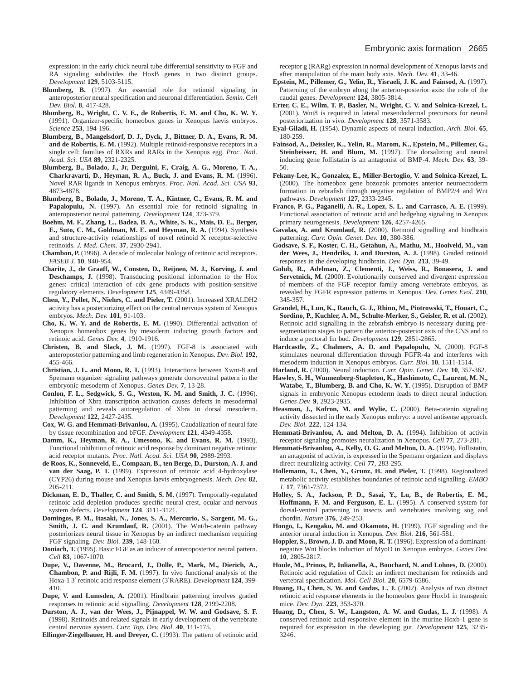expression: in the early chick neural tube differential sensitivity to FGF and RA signaling subdivides the HoxB genes in two distinct groups. *Development* **129**, 5103-5115.

- **Blumberg, B.** (1997). An essential role for retinoid signaling in anteroposterior neural specification and neuronal differentiation. *Semin. Cell Dev. Biol.* **8**, 417-428.
- **Blumberg, B., Wright, C. V. E., de Robertis, E. M. and Cho, K. W. Y.** (1991). Organizer-specific homeobox genes in Xenopus laevis embryos. *Science* **253**, 194-196.
- **Blumberg, B., Mangelsdorf, D. J., Dyck, J., Bittner, D. A., Evans, R. M. and de Robertis, E. M.** (1992). Multiple retinoid-responsive receptors in a single cell: families of RXRs and RARs in the Xenopus egg. *Proc. Natl. Acad. Sci. USA* **89**, 2321-2325.
- **Blumberg, B., Bolado, J., Jr, Derguini, F., Craig, A. G., Moreno, T. A., Charkravarti, D., Heyman, R. A., Buck, J. and Evans, R. M.** (1996). Novel RAR ligands in Xenopus embryos. *Proc. Natl. Acad. Sci. USA* **93**, 4873-4878.
- **Blumberg, B., Bolado, J., Moreno, T. A., Kintner, C., Evans, R. M. and** Papalopulu, N. (1997). An essential role for retinoid signaling in anteroposterior neural patterning. *Development* **124**, 373-379.
- **Boehm, M. F., Zhang, L., Badea, B. A., White, S. K., Mais, D. E., Berger, E., Suto, C. M., Goldman, M. E. and Heyman, R. A.** (1994). Synthesis and structure-activity relationships of novel retinoid X receptor-selective retinoids. *J. Med. Chem.* **37**, 2930-2941.
- **Chambon, P.** (1996). A decade of molecular biology of retinoic acid receptors. *FASEB J.* **10**, 940-954.
- **Charite, J., de Graaff, W., Consten, D., Reijnen, M. J., Korving, J. and Deschamps, J.** (1998). Transducing positional information to the Hox genes: critical interaction of cdx gene products with position-sensitive regulatory elements. *Development* **125**, 4349-4358.
- **Chen, Y., Pollet, N., Niehrs, C. and Pieler, T.** (2001). Increased XRALDH2 activity has a posteriorizing effect on the central nervous system of Xenopus embryos. *Mech. Dev.* **101**, 91-103.
- **Cho, K. W. Y. and de Robertis, E. M.** (1990). Differential activation of Xenopus homeobox genes by mesoderm inducing growth factors and retinoic acid. *Genes Dev.* **4**, 1910-1916.
- **Christen, B. and Slack, J. M.** (1997). FGF-8 is associated with anteroposterior patterning and limb regeneration in Xenopus. *Dev. Biol.* **192**, 455-466.
- **Christian, J. L. and Moon, R. T.** (1993). Interactions between Xwnt-8 and Spemann organizer signaling pathways generate dorsoventral pattern in the embryonic mesoderm of Xenopus. *Genes Dev.* **7**, 13-28.
- **Conlon, F. L., Sedgwick, S. G., Weston, K. M. and Smith, J. C.** (1996). Inhibition of Xbra transcription activation causes defects in mesodermal patterning and reveals autoregulation of Xbra in dorsal mesoderm. *Development* **122**, 2427-2435.
- **Cox, W. G. and Hemmati-Brivanlou, A.** (1995). Caudalization of neural fate by tissue recombination and bFGF. *Development* **121**, 4349-4358.
- **Damm, K., Heyman, R. A., Umesono, K. and Evans, R. M.** (1993). Functional inhibition of retinoic acid response by dominant negative retinoic acid receptor mutants. *Proc. Natl. Acad. Sci. USA* **90**, 2989-2993.
- **de Roos, K., Sonneveld, E., Compaan, B., ten Berge, D., Durston, A. J. and van der Saag, P. T.** (1999). Expression of retinoic acid 4-hydroxylase (CYP26) during mouse and Xenopus laevis embryogenesis. *Mech. Dev.* **82**, 205-211.
- **Dickman, E. D., Thaller, C. and Smith, S. M.** (1997). Temporally-regulated retinoic acid depletion produces specific neural crest, ocular and nervous system defects. *Development* **124**, 3111-3121.
- **Domingos, P. M., Itasaki, N., Jones, S. A., Mercurio, S., Sargent, M. G., Smith, J. C. and Krumlauf, R.** (2001). The Wnt/b-catenin pathway posteriorizes neural tissue in Xenopus by an indirect mechanism requiring FGF signaling. *Dev. Biol.* **239**, 148-160.
- **Doniach, T.** (1995). Basic FGF as an inducer of anteroposterior neural pattern. *Cell* **83**, 1067-1070.
- **Dupe, V., Davenne, M., Brocard, J., Dolle, P., Mark, M., Dierich, A., Chambon, P. and Rijli, F. M.** (1997). In vivo functional analysis of the Hoxa-1 3′ retinoic acid response element (3′RARE). *Development* **124**, 399- 410.
- **Dupe, V. and Lumsden, A.** (2001). Hindbrain patterning involves graded responses to retinoic acid signalling. *Development* **128**, 2199-2208.
- **Durston, A. J., van der Wees, J., Pijnappel, W. W. and Godsave, S. F.** (1998). Retinoids and related signals in early development of the vertebrate central nervous system. *Curr. Top. Dev. Biol.* **40**, 111-175.

**Ellinger-Ziegelbauer, H. and Dreyer, C.** (1993). The pattern of retinoic acid

receptor g (RARg) expression in normal development of Xenopus laevis and after manipulation of the main body axis. *Mech. Dev.* **41**, 33-46.

- **Epstein, M., Pillemer, G., Yelin, R., Yisraeli, J. K. and Fainsod, A.** (1997). Patterning of the embryo along the anterior-posterior axis: the role of the caudal genes. *Development* **124**, 3805-3814.
- **Erter, C. E., Wilm, T. P., Basler, N., Wright, C. V. and Solnica-Krezel, L.** (2001). Wnt8 is required in lateral mesendodermal precursors for neural posteriorization in vivo. *Development* **128**, 3571-3583.
- **Eyal-Giladi, H.** (1954). Dynamic aspects of neural induction. *Arch. Biol.* **65**, 180-259.
- **Fainsod, A., Deissler, K., Yelin, R., Marom, K., Epstein, M., Pillemer, G., Steinbeisser, H. and Blum, M.** (1997). The dorsalizing and neural inducing gene follistatin is an antagonist of BMP-4. *Mech. Dev.* **63**, 39- 50.
- **Fekany-Lee, K., Gonzalez, E., Miller-Bertoglio, V. and Solnica-Krezel, L.** (2000). The homeobox gene bozozok promotes anterior neuroectoderm formation in zebrafish through negative regulation of BMP2/4 and Wnt pathways. *Development* **127**, 2333-2345.
- **Franco, P. G., Paganelli, A. R., Lopez, S. L. and Carrasco, A. E.** (1999). Functional association of retinoic acid and hedgehog signaling in Xenopus primary neurogenesis. *Development* **126**, 4257-4265.
- **Gavalas, A. and Krumlauf, R.** (2000). Retinoid signalling and hindbrain patterning. *Curr. Opin. Genet. Dev.* **10**, 380-386.
- **Godsave, S. F., Koster, C. H., Getahun, A., Mathu, M., Hooiveld, M., van der Wees, J., Hendriks, J. and Durston, A. J.** (1998). Graded retinoid responses in the developing hindbrain. *Dev. Dyn.* **213**, 39-49.
- **Golub, R., Adelman, Z., Clementi, J., Weiss, R., Bonasera, J. and** Servetnick, M. (2000). Evolutionarily conserved and divergent expression of members of the FGF receptor family among vertebrate embryos, as revealed by FGFR expression patterns in Xenopus. *Dev. Genes Evol.* **210**, 345-357.
- **Grandel, H., Lun, K., Rauch, G. J., Rhinn, M., Piotrowski, T., Houart, C., Sordino, P., Kuchler, A. M., Schulte-Merker, S., Geisler, R. et al.** (2002). Retinoic acid signalling in the zebrafish embryo is necessary during presegmentation stages to pattern the anterior-posterior axis of the CNS and to induce a pectoral fin bud. *Development* **129**, 2851-2865.
- **Hardcastle, Z., Chalmers, A. D. and Papalopulu, N.** (2000). FGF-8 stimulates neuronal differentiation through FGFR-4a and interferes with mesoderm induction in Xenopus embryos. *Curr. Biol.* **10**, 1511-1514.
- **Harland, R.** (2000). Neural induction. *Curr. Opin. Genet. Dev.* **10**, 357-362.
- **Hawley, S. H., Wunnenberg-Stapleton, K., Hashimoto, C., Laurent, M. N., Watabe, T., Blumberg, B. and Cho, K. W. Y.** (1995). Disruption of BMP signals in embryonic Xenopus ectoderm leads to direct neural induction. *Genes Dev.* **9**, 2923-2935.
- **Heasman, J., Kofron, M. and Wylie, C.** (2000). Beta-catenin signaling activity dissected in the early Xenopus embryo: a novel antisense approach. *Dev. Biol.* **222**, 124-134.
- **Hemmati-Brivanlou, A. and Melton, D. A.** (1994). Inhibition of activin receptor signaling promotes neuralization in Xenopus. *Cell* **77**, 273-281.
- **Hemmati-Brivanlou, A., Kelly, O. G. and Melton, D. A.** (1994). Follistatin, an antagonist of activin, is expressed in the Spemann organizer and displays direct neuralizing activity. *Cell* **77**, 283-295.
- **Hollemann, T., Chen, Y., Grunz, H. and Pieler, T.** (1998). Regionalized metabolic activity establishes boundaries of retinoic acid signalling. *EMBO J.* **17**, 7361-7372.
- **Holley, S. A., Jackson, P. D., Sasai, Y., Lu, B., de Robertis, E. M., Hoffmann, F. M. and Ferguson, E. L.** (1995). A conserved system for dorsal-ventral patterning in insects and vertebrates involving sog and chordin. *Nature* **376**, 249-253.
- **Hongo, I., Kengaku, M. and Okamoto, H.** (1999). FGF signaling and the anterior neural induction in Xenopus. *Dev. Biol.* **216**, 561-581.
- **Hoppler, S., Brown, J. D. and Moon, R. T.** (1996). Expression of a dominantnegative Wnt blocks induction of MyoD in Xenopus embryos. *Genes Dev.* **10**, 2805-2817.
- **Houle, M., Prinos, P., Iulianella, A., Bouchard, N. and Lohnes, D.** (2000). Retinoic acid regulation of Cdx1: an indirect mechanism for retinoids and vertebral specification. *Mol. Cell Biol.* **20**, 6579-6586.
- **Huang, D., Chen, S. W. and Gudas, L. J.** (2002). Analysis of two distinct retinoic acid response elements in the homeobox gene Hoxb1 in transgenic mice. *Dev. Dyn.* **223**, 353-370.
- **Huang, D., Chen, S. W., Langston, A. W. and Gudas, L. J.** (1998). A conserved retinoic acid responsive element in the murine Hoxb-1 gene is required for expression in the developing gut. *Development* **125**, 3235- 3246.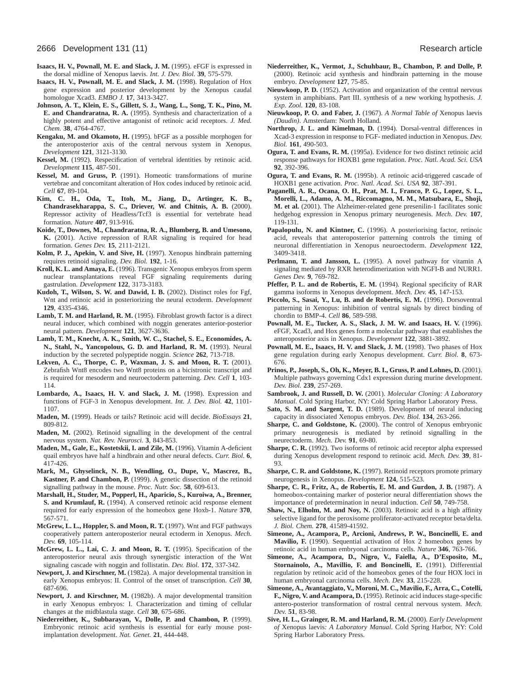- **Isaacs, H. V., Pownall, M. E. and Slack, J. M.** (1995). eFGF is expressed in the dorsal midline of Xenopus laevis. *Int. J. Dev. Biol.* **39**, 575-579.
- **Isaacs, H. V., Pownall, M. E. and Slack, J. M.** (1998). Regulation of Hox gene expression and posterior development by the Xenopus caudal homologue Xcad3. *EMBO J.* **17**, 3413-3427.
- **Johnson, A. T., Klein, E. S., Gillett, S. J., Wang, L., Song, T. K., Pino, M. E. and Chandraratna, R. A.** (1995). Synthesis and characterization of a highly potent and effective antagonist of retinoic acid receptors. *J. Med. Chem.* **38**, 4764-4767.
- **Kengaku, M. and Okamoto, H.** (1995). bFGF as a possible morphogen for the anteroposterior axis of the central nervous system in Xenopus. *Development* **121**, 3121-3130.
- **Kessel, M.** (1992). Respecification of vertebral identities by retinoic acid. *Development* **115**, 487-501.
- **Kessel, M. and Gruss, P.** (1991). Homeotic transformations of murine vertebrae and concomitant alteration of Hox codes induced by retinoic acid. *Cell* **67**, 89-104.
- **Kim, C. H., Oda, T., Itoh, M., Jiang, D., Artinger, K. B., Chandrasekharappa, S. C., Driever, W. and Chitnis, A. B.** (2000). Repressor activity of Headless/Tcf3 is essential for vertebrate head formation. *Nature* **407**, 913-916.
- **Koide, T., Downes, M., Chandraratna, R. A., Blumberg, B. and Umesono, K.** (2001). Active repression of RAR signaling is required for head formation. *Genes Dev.* **15**, 2111-2121.
- **Kolm, P. J., Apekin, V. and Sive, H.** (1997). Xenopus hindbrain patterning requires retinoid signaling. *Dev. Biol.* **192**, 1-16.
- **Kroll, K. L. and Amaya, E.** (1996). Transgenic Xenopus embryos from sperm nuclear transplantations reveal FGF signaling requirements during gastrulation. *Development* **122**, 3173-3183.
- **Kudoh, T., Wilson, S. W. and Dawid, I. B.** (2002). Distinct roles for Fgf, Wnt and retinoic acid in posteriorizing the neural ectoderm. *Development* **129**, 4335-4346.
- Lamb, T. M. and Harland, R. M. (1995). Fibroblast growth factor is a direct neural inducer, which combined with noggin generates anterior-posterior neural pattern. *Development* **121**, 3627-3636.
- **Lamb, T. M., Knecht, A. K., Smith, W. C., Stachel, S. E., Economides, A. N., Stahl, N., Yancopolous, G. D. and Harland, R. M.** (1993). Neural induction by the secreted polypeptide noggin. *Science* **262**, 713-718.
- **Lekven, A. C., Thorpe, C. P., Waxman, J. S. and Moon, R. T.** (2001). Zebrafish Wnt8 encodes two Wnt8 proteins on a bicistronic transcript and is required for mesoderm and neuroectoderm patterning. *Dev. Cell* **1**, 103- 114.
- **Lombardo, A., Isaacs, H. V. and Slack, J. M.** (1998). Expression and functions of FGF-3 in Xenopus development. *Int. J. Dev. Biol.* **42**, 1101- 1107.
- **Maden, M.** (1999). Heads or tails? Retinoic acid will decide. *BioEssays* **21**, 809-812.
- **Maden, M.** (2002). Retinoid signalling in the development of the central nervous system. *Nat. Rev. Neurosci.* **3**, 843-853.
- **Maden, M., Gale, E., Kostetskii, I. and Zile, M.** (1996). Vitamin A-deficient quail embryos have half a hindbrain and other neural defects. *Curr. Biol.* **6**, 417-426.
- **Mark, M., Ghyselinck, N. B., Wendling, O., Dupe, V., Mascrez, B., Kastner, P. and Chambon, P.** (1999). A genetic dissection of the retinoid signalling pathway in the mouse. *Proc. Nutr. Soc.* **58**, 609-613.
- **Marshall, H., Studer, M., Popperl, H., Aparicio, S., Kuroiwa, A., Brenner, S. and Krumlauf, R.** (1994). A conserved retinoic acid response element required for early expression of the homeobox gene Hoxb-1. *Nature* **370**, 567-571.
- **McGrew, L. L., Hoppler, S. and Moon, R. T.** (1997). Wnt and FGF pathways cooperatively pattern anteroposterior neural ectoderm in Xenopus. *Mech. Dev.* **69**, 105-114.
- **McGrew, L. L., Lai, C. J. and Moon, R. T.** (1995). Specification of the anteroposterior neural axis through synergistic interaction of the Wnt signaling cascade with noggin and follistatin. *Dev. Biol.* **172**, 337-342.
- **Newport, J. and Kirschner, M.** (1982a). A major developmental transition in early Xenopus embryos: II. Control of the onset of transcription. *Cell* **30**, 687-696.
- **Newport, J. and Kirschner, M.** (1982b). A major developmental transition in early Xenopus embryos: I. Characterization and timing of cellular changes at the midblastula stage. *Cell* **30**, 675-686.
- **Niederreither, K., Subbarayan, V., Dolle, P. and Chambon, P.** (1999). Embryonic retinoic acid synthesis is essential for early mouse postimplantation development. *Nat. Genet.* **21**, 444-448.
- **Niederreither, K., Vermot, J., Schuhbaur, B., Chambon, P. and Dolle, P.** (2000). Retinoic acid synthesis and hindbrain patterning in the mouse embryo. *Development* **127**, 75-85.
- **Nieuwkoop, P. D.** (1952). Activation and organization of the central nervous system in amphibians. Part III. synthesis of a new working hypothesis. *J. Exp. Zool.* **120**, 83-108.
- **Nieuwkoop, P. O. and Faber, J.** (1967). *A Normal Table of* Xenopus laevis *(Daudin)*. Amsterdam: North Holland.
- **Northrop, J. L. and Kimelman, D.** (1994). Dorsal-ventral differences in Xcad-3 expression in response to FGF- mediated induction in Xenopus. *Dev. Biol.* **161**, 490-503.
- **Ogura, T. and Evans, R. M.** (1995a). Evidence for two distinct retinoic acid response pathways for HOXB1 gene regulation. *Proc. Natl. Acad. Sci. USA* **92**, 392-396.
- **Ogura, T. and Evans, R. M.** (1995b). A retinoic acid-triggered cascade of HOXB1 gene activation. *Proc. Natl. Acad. Sci. USA* **92**, 387-391.
- **Paganelli, A. R., Ocana, O. H., Prat, M. I., Franco, P. G., Lopez, S. L., Morelli, L., Adamo, A. M., Riccomagno, M. M., Matsubara, E., Shoji, M. et al.** (2001). The Alzheimer-related gene presenilin-1 facilitates sonic hedgehog expression in Xenopus primary neurogenesis. *Mech. Dev.* **107**, 119-131.
- **Papalopulu, N. and Kintner, C.** (1996). A posteriorising factor, retinoic acid, reveals that anteroposterior patterning controls the timing of neuronal differentiation in Xenopus neuroectoderm. *Development* **122**, 3409-3418.
- Perlmann, T. and Jansson, L. (1995). A novel pathway for vitamin A signaling mediated by RXR heterodimerization with NGFI-B and NURR1. *Genes Dev.* **9**, 769-782.
- **Pfeffer, P. L. and de Robertis, E. M.** (1994). Regional specificity of RAR gamma isoforms in Xenopus development. *Mech. Dev.* **45**, 147-153.
- **Piccolo, S., Sasai, Y., Lu, B. and de Robertis, E. M.** (1996). Dorsoventral patterning in Xenopus: inhibition of ventral signals by direct binding of chordin to BMP-4. *Cell* **86**, 589-598.
- **Pownall, M. E., Tucker, A. S., Slack, J. M. W. and Isaacs, H. V.** (1996). eFGF, Xcad3, and Hox genes form a molecular pathway that establishes the anteroposterior axis in Xenopus. *Development* **122**, 3881-3892.
- **Pownall, M. E., Isaacs, H. V. and Slack, J. M.** (1998). Two phases of Hox gene regulation during early Xenopus development. *Curr. Biol.* **8**, 673- 676.
- **Prinos, P., Joseph, S., Oh, K., Meyer, B. I., Gruss, P. and Lohnes, D.** (2001). Multiple pathways governing Cdx1 expression during murine development. *Dev. Biol.* **239**, 257-269.
- **Sambrook, J. and Russell, D. W.** (2001). *Molecular Cloning: A Laboratory Manual.* Cold Spring Harbor, NY: Cold Spring Harbor Laboratory Press.
- **Sato, S. M. and Sargent, T. D.** (1989). Development of neural inducing capacity in dissociated Xenopus embryos. *Dev. Biol.* **134**, 263-266.
- **Sharpe, C. and Goldstone, K.** (2000). The control of Xenopus embryonic primary neurogenesis is mediated by retinoid signalling in the neurectoderm. *Mech. Dev.* **91**, 69-80.
- **Sharpe, C. R.** (1992). Two isoforms of retinoic acid receptor alpha expressed during Xenopus development respond to retinoic acid. *Mech. Dev.* **39**, 81- 93.
- **Sharpe, C. R. and Goldstone, K.** (1997). Retinoid receptors promote primary neurogenesis in Xenopus. *Development* **124**, 515-523.
- **Sharpe, C. R., Fritz, A., de Robertis, E. M. and Gurdon, J. B.** (1987). A homeobox-containing marker of posterior neural differentiation shows the importance of predetermination in neural induction. *Cell* **50**, 749-758.
- **Shaw, N., Elholm, M. and Noy, N.** (2003). Retinoic acid is a high affinity selective ligand for the peroxisome proliferator-activated receptor beta/delta. *J. Biol. Chem.* **278**, 41589-41592.
- **Simeone, A., Acampora, P., Arcioni, Andrews, P. W., Boncinelli, E. and Mavilio, F.** (1990). Sequential activation of Hox 2 homeobox genes by retinoic acid in human embryonal carcinoma cells. *Nature* **346**, 763-766.
- **Simeone, A., Acampora, D., Nigro, V., Faiella, A., D'Esposito, M., Stornainolo, A., Mavillio, F. and Boncinelli, E.** (1991). Differential regulation by retinoic acid of the homeobox genes of the four HOX loci in human embryonal carcinoma cells. *Mech. Dev.* **33**, 215-228.
- **Simeone, A., Avantaggiato, V., Moroni, M. C., Mavilio, F., Arra, C., Cotelli, F., Nigro, V. and Acampora, D.** (1995). Retinoic acid induces stage-specific antero-posterior transformation of rostral central nervous system. *Mech. Dev.* **51**, 83-98.
- **Sive, H. L., Grainger, R. M. and Harland, R. M.** (2000). *Early Development of* Xenopus laevis*: A Laboratory Manual*. Cold Spring Harbor, NY: Cold Spring Harbor Laboratory Press.